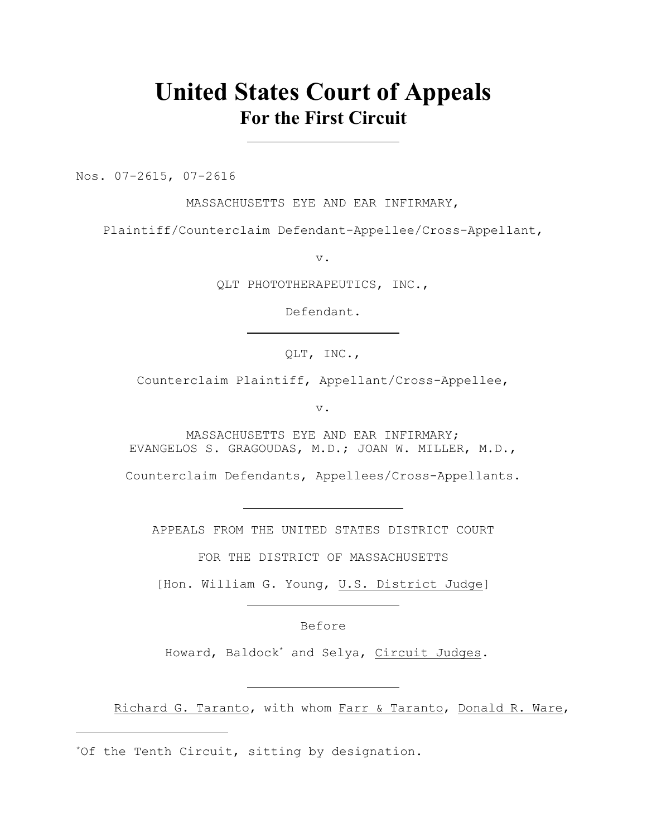# **United States Court of Appeals For the First Circuit**

Nos. 07-2615, 07-2616

MASSACHUSETTS EYE AND EAR INFIRMARY,

Plaintiff/Counterclaim Defendant-Appellee/Cross-Appellant,

v.

QLT PHOTOTHERAPEUTICS, INC.,

Defendant.

QLT, INC.,

Counterclaim Plaintiff, Appellant/Cross-Appellee,

v.

MASSACHUSETTS EYE AND EAR INFIRMARY; EVANGELOS S. GRAGOUDAS, M.D.; JOAN W. MILLER, M.D.,

Counterclaim Defendants, Appellees/Cross-Appellants.

APPEALS FROM THE UNITED STATES DISTRICT COURT

FOR THE DISTRICT OF MASSACHUSETTS

[Hon. William G. Young, U.S. District Judge]

Before

Howard, Baldock<sup>\*</sup> and Selya, Circuit Judges.

Richard G. Taranto, with whom Farr & Taranto, Donald R. Ware,

<sup>\*</sup>Of the Tenth Circuit, sitting by designation.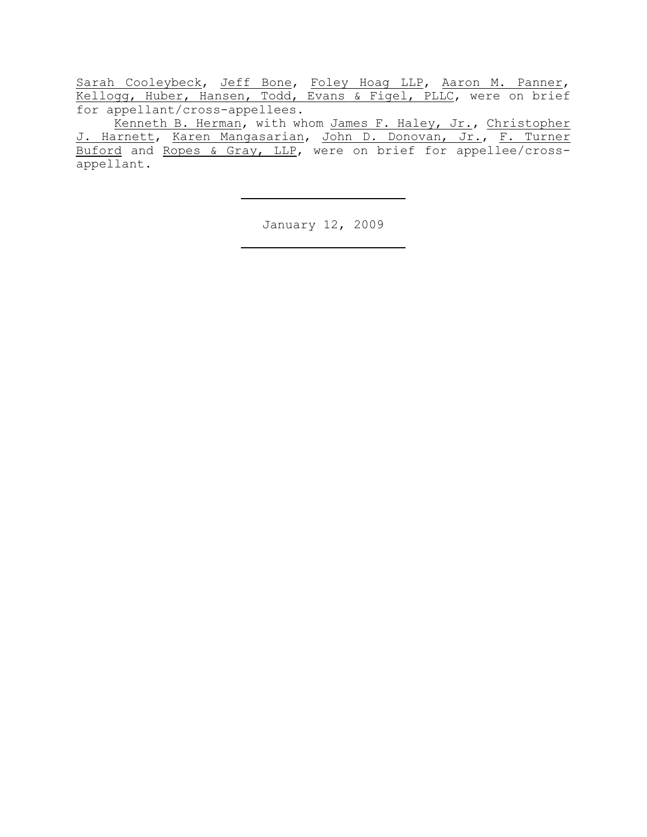Sarah Cooleybeck, Jeff Bone, Foley Hoag LLP, Aaron M. Panner, Kellogg, Huber, Hansen, Todd, Evans & Figel, PLLC, were on brief for appellant/cross-appellees.

Kenneth B. Herman, with whom James F. Haley, Jr., Christopher J. Harnett, Karen Mangasarian, John D. Donovan, Jr., F. Turner Buford and Ropes & Gray, LLP, were on brief for appellee/crossappellant.

January 12, 2009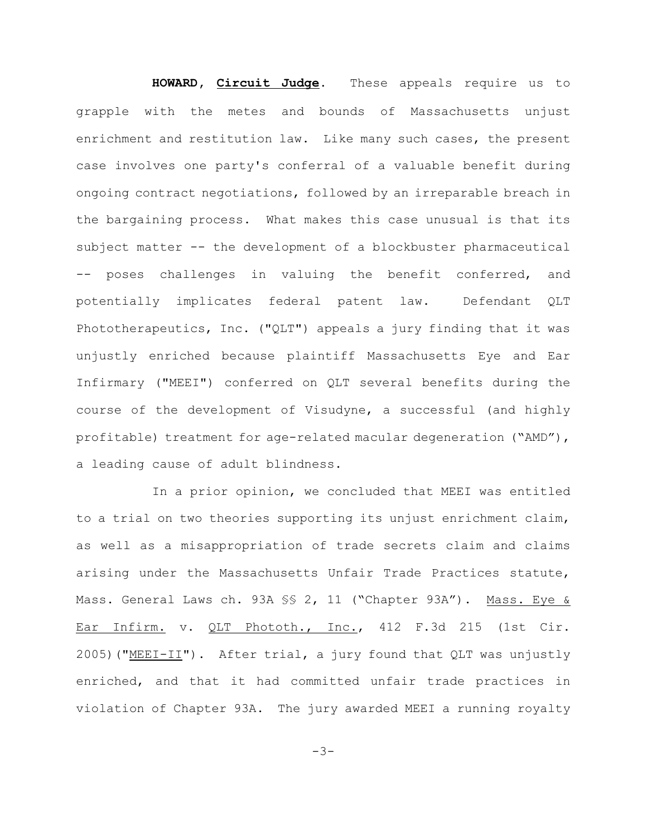## **HOWARD, Circuit Judge**. These appeals require us to

grapple with the metes and bounds of Massachusetts unjust enrichment and restitution law. Like many such cases, the present case involves one party's conferral of a valuable benefit during ongoing contract negotiations, followed by an irreparable breach in the bargaining process. What makes this case unusual is that its subject matter -- the development of a blockbuster pharmaceutical -- poses challenges in valuing the benefit conferred, and potentially implicates federal patent law. Defendant QLT Phototherapeutics, Inc. ("QLT") appeals a jury finding that it was unjustly enriched because plaintiff Massachusetts Eye and Ear Infirmary ("MEEI") conferred on QLT several benefits during the course of the development of Visudyne, a successful (and highly profitable) treatment for age-related macular degeneration ("AMD"), a leading cause of adult blindness.

In a prior opinion, we concluded that MEEI was entitled to a trial on two theories supporting its unjust enrichment claim, as well as a misappropriation of trade secrets claim and claims arising under the Massachusetts Unfair Trade Practices statute, Mass. General Laws ch. 93A SS 2, 11 ("Chapter 93A"). Mass. Eye & Ear Infirm. v. QLT Phototh., Inc., 412 F.3d 215 (1st Cir. 2005)("MEEI-II"). After trial, a jury found that QLT was unjustly enriched, and that it had committed unfair trade practices in violation of Chapter 93A. The jury awarded MEEI a running royalty

 $-3-$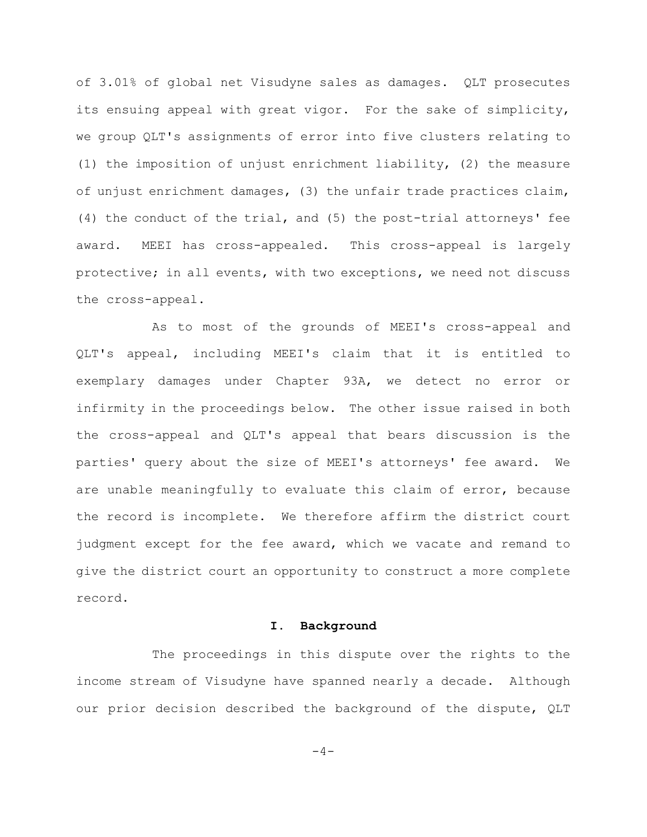of 3.01% of global net Visudyne sales as damages. QLT prosecutes its ensuing appeal with great vigor. For the sake of simplicity, we group QLT's assignments of error into five clusters relating to (1) the imposition of unjust enrichment liability, (2) the measure of unjust enrichment damages, (3) the unfair trade practices claim, (4) the conduct of the trial, and (5) the post-trial attorneys' fee award. MEEI has cross-appealed. This cross-appeal is largely protective; in all events, with two exceptions, we need not discuss the cross-appeal.

As to most of the grounds of MEEI's cross-appeal and QLT's appeal, including MEEI's claim that it is entitled to exemplary damages under Chapter 93A, we detect no error or infirmity in the proceedings below. The other issue raised in both the cross-appeal and QLT's appeal that bears discussion is the parties' query about the size of MEEI's attorneys' fee award. We are unable meaningfully to evaluate this claim of error, because the record is incomplete. We therefore affirm the district court judgment except for the fee award, which we vacate and remand to give the district court an opportunity to construct a more complete record.

#### **I. Background**

The proceedings in this dispute over the rights to the income stream of Visudyne have spanned nearly a decade. Although our prior decision described the background of the dispute, QLT

 $-4-$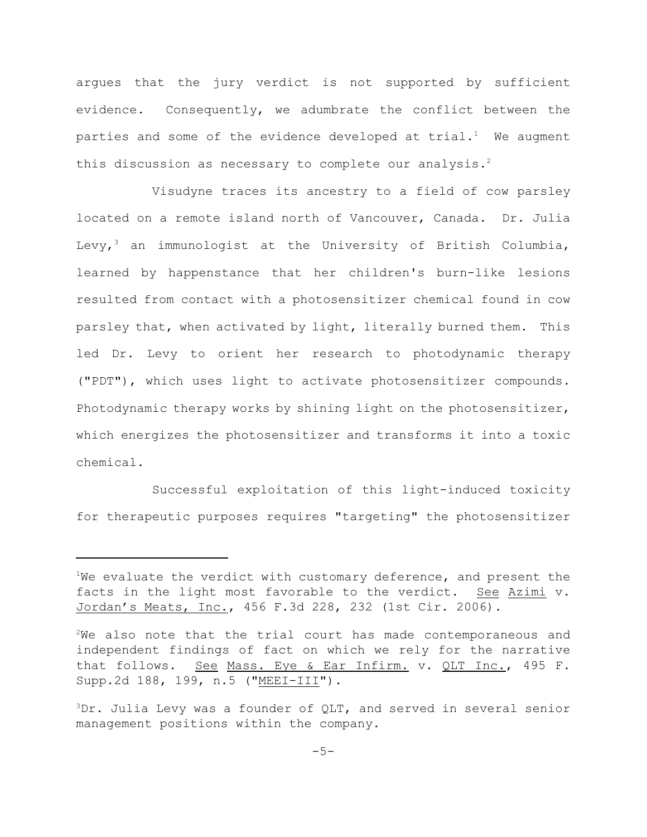argues that the jury verdict is not supported by sufficient evidence. Consequently, we adumbrate the conflict between the parties and some of the evidence developed at  $trial.$  We augment this discussion as necessary to complete our analysis.<sup>2</sup>

Visudyne traces its ancestry to a field of cow parsley located on a remote island north of Vancouver, Canada. Dr. Julia Levy,<sup>3</sup> an immunologist at the University of British Columbia, learned by happenstance that her children's burn-like lesions resulted from contact with a photosensitizer chemical found in cow parsley that, when activated by light, literally burned them. This led Dr. Levy to orient her research to photodynamic therapy ("PDT"), which uses light to activate photosensitizer compounds. Photodynamic therapy works by shining light on the photosensitizer, which energizes the photosensitizer and transforms it into a toxic chemical.

Successful exploitation of this light-induced toxicity for therapeutic purposes requires "targeting" the photosensitizer

<sup>&</sup>lt;sup>1</sup>We evaluate the verdict with customary deference, and present the facts in the light most favorable to the verdict. See Azimi v. Jordan's Meats, Inc., 456 F.3d 228, 232 (1st Cir. 2006).

 $2$ We also note that the trial court has made contemporaneous and independent findings of fact on which we rely for the narrative that follows. See Mass. Eye & Ear Infirm. v. QLT Inc., 495 F. Supp.2d 188, 199, n.5 ("MEEI-III").

 $3Dr.$  Julia Levy was a founder of QLT, and served in several senior management positions within the company.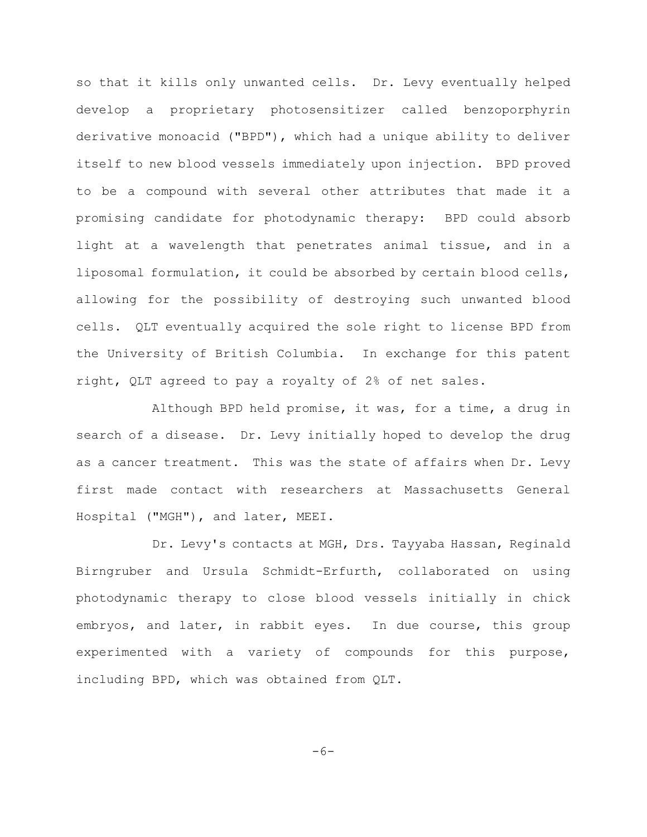so that it kills only unwanted cells. Dr. Levy eventually helped develop a proprietary photosensitizer called benzoporphyrin derivative monoacid ("BPD"), which had a unique ability to deliver itself to new blood vessels immediately upon injection. BPD proved to be a compound with several other attributes that made it a promising candidate for photodynamic therapy: BPD could absorb light at a wavelength that penetrates animal tissue, and in a liposomal formulation, it could be absorbed by certain blood cells, allowing for the possibility of destroying such unwanted blood cells. QLT eventually acquired the sole right to license BPD from the University of British Columbia. In exchange for this patent right, QLT agreed to pay a royalty of 2% of net sales.

Although BPD held promise, it was, for a time, a drug in search of a disease. Dr. Levy initially hoped to develop the drug as a cancer treatment. This was the state of affairs when Dr. Levy first made contact with researchers at Massachusetts General Hospital ("MGH"), and later, MEEI.

Dr. Levy's contacts at MGH, Drs. Tayyaba Hassan, Reginald Birngruber and Ursula Schmidt-Erfurth, collaborated on using photodynamic therapy to close blood vessels initially in chick embryos, and later, in rabbit eyes. In due course, this group experimented with a variety of compounds for this purpose, including BPD, which was obtained from QLT.

 $-6-$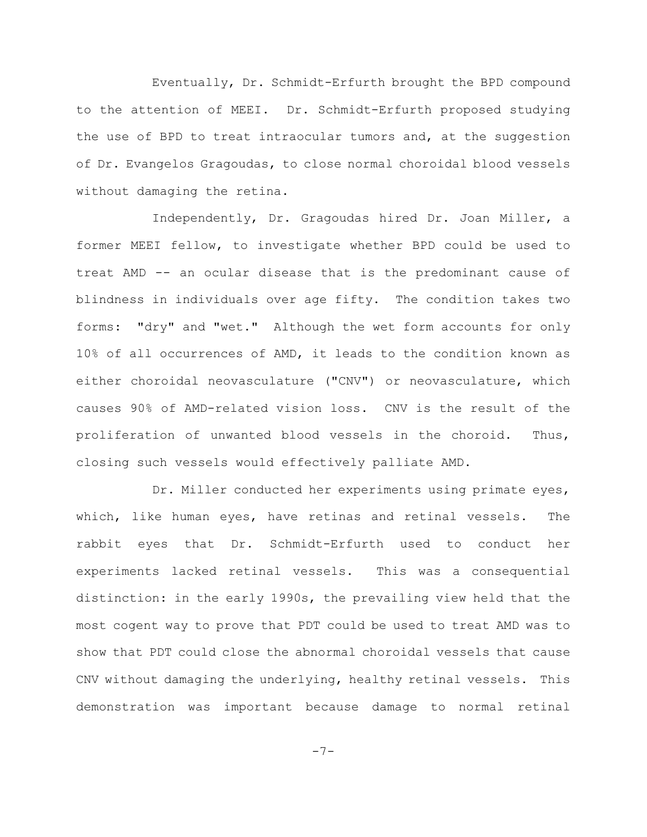Eventually, Dr. Schmidt-Erfurth brought the BPD compound to the attention of MEEI. Dr. Schmidt-Erfurth proposed studying the use of BPD to treat intraocular tumors and, at the suggestion of Dr. Evangelos Gragoudas, to close normal choroidal blood vessels without damaging the retina.

Independently, Dr. Gragoudas hired Dr. Joan Miller, a former MEEI fellow, to investigate whether BPD could be used to treat AMD -- an ocular disease that is the predominant cause of blindness in individuals over age fifty. The condition takes two forms: "dry" and "wet." Although the wet form accounts for only 10% of all occurrences of AMD, it leads to the condition known as either choroidal neovasculature ("CNV") or neovasculature, which causes 90% of AMD-related vision loss. CNV is the result of the proliferation of unwanted blood vessels in the choroid. Thus, closing such vessels would effectively palliate AMD.

Dr. Miller conducted her experiments using primate eyes, which, like human eyes, have retinas and retinal vessels. The rabbit eyes that Dr. Schmidt-Erfurth used to conduct her experiments lacked retinal vessels. This was a consequential distinction: in the early 1990s, the prevailing view held that the most cogent way to prove that PDT could be used to treat AMD was to show that PDT could close the abnormal choroidal vessels that cause CNV without damaging the underlying, healthy retinal vessels. This demonstration was important because damage to normal retinal

-7-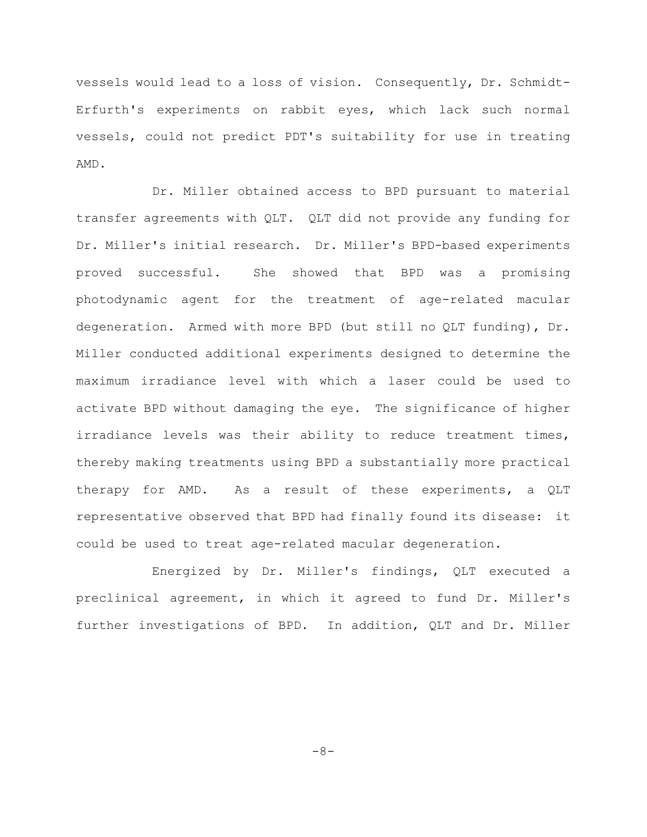vessels would lead to a loss of vision. Consequently, Dr. Schmidt-Erfurth's experiments on rabbit eyes, which lack such normal vessels, could not predict PDT's suitability for use in treating AMD.

Dr. Miller obtained access to BPD pursuant to material transfer agreements with QLT. QLT did not provide any funding for Dr. Miller's initial research. Dr. Miller's BPD-based experiments proved successful. She showed that BPD was a promising photodynamic agent for the treatment of age-related macular degeneration. Armed with more BPD (but still no QLT funding), Dr. Miller conducted additional experiments designed to determine the maximum irradiance level with which a laser could be used to activate BPD without damaging the eye. The significance of higher irradiance levels was their ability to reduce treatment times, thereby making treatments using BPD a substantially more practical therapy for AMD. As a result of these experiments, a QLT representative observed that BPD had finally found its disease: it could be used to treat age-related macular degeneration.

Energized by Dr. Miller's findings, QLT executed a preclinical agreement, in which it agreed to fund Dr. Miller's further investigations of BPD. In addition, QLT and Dr. Miller

 $-8-$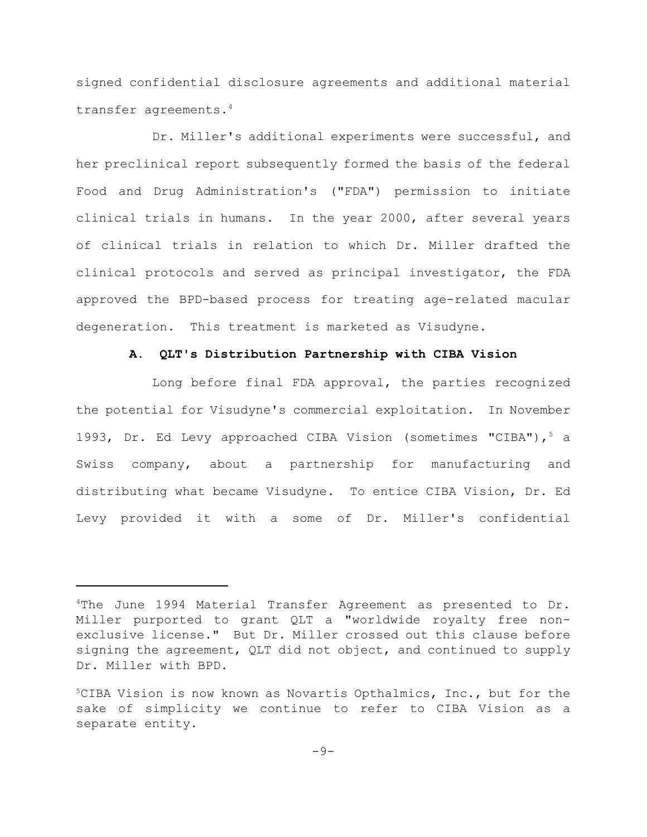signed confidential disclosure agreements and additional material transfer agreements.<sup>4</sup>

Dr. Miller's additional experiments were successful, and her preclinical report subsequently formed the basis of the federal Food and Drug Administration's ("FDA") permission to initiate clinical trials in humans. In the year 2000, after several years of clinical trials in relation to which Dr. Miller drafted the clinical protocols and served as principal investigator, the FDA approved the BPD-based process for treating age-related macular degeneration. This treatment is marketed as Visudyne.

# **A. QLT's Distribution Partnership with CIBA Vision**

Long before final FDA approval, the parties recognized the potential for Visudyne's commercial exploitation. In November 1993, Dr. Ed Levy approached CIBA Vision (sometimes "CIBA"),  $5$  a Swiss company, about a partnership for manufacturing and distributing what became Visudyne. To entice CIBA Vision, Dr. Ed Levy provided it with a some of Dr. Miller's confidential

<sup>&</sup>lt;sup>4</sup>The June 1994 Material Transfer Agreement as presented to Dr. Miller purported to grant QLT a "worldwide royalty free nonexclusive license." But Dr. Miller crossed out this clause before signing the agreement, QLT did not object, and continued to supply Dr. Miller with BPD.

 $5$ CIBA Vision is now known as Novartis Opthalmics, Inc., but for the sake of simplicity we continue to refer to CIBA Vision as a separate entity.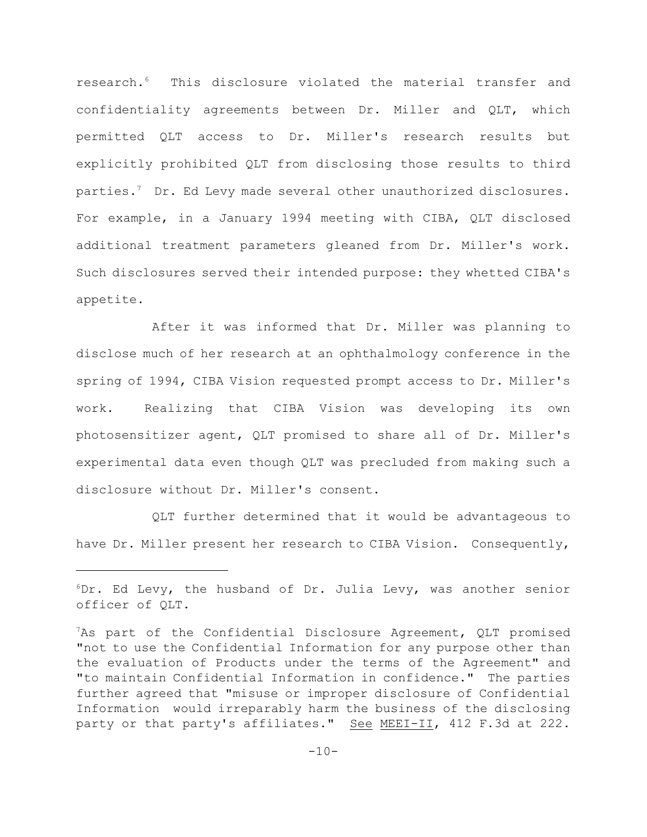research.<sup>6</sup> This disclosure violated the material transfer and confidentiality agreements between Dr. Miller and QLT, which permitted QLT access to Dr. Miller's research results but explicitly prohibited QLT from disclosing those results to third parties.<sup>7</sup> Dr. Ed Levy made several other unauthorized disclosures. For example, in a January 1994 meeting with CIBA, QLT disclosed additional treatment parameters gleaned from Dr. Miller's work. Such disclosures served their intended purpose: they whetted CIBA's appetite.

After it was informed that Dr. Miller was planning to disclose much of her research at an ophthalmology conference in the spring of 1994, CIBA Vision requested prompt access to Dr. Miller's work. Realizing that CIBA Vision was developing its own photosensitizer agent, QLT promised to share all of Dr. Miller's experimental data even though QLT was precluded from making such a disclosure without Dr. Miller's consent.

QLT further determined that it would be advantageous to have Dr. Miller present her research to CIBA Vision. Consequently,

 $6Dr.$  Ed Levy, the husband of Dr. Julia Levy, was another senior officer of QLT.

 $7$ As part of the Confidential Disclosure Agreement, QLT promised "not to use the Confidential Information for any purpose other than the evaluation of Products under the terms of the Agreement" and "to maintain Confidential Information in confidence." The parties further agreed that "misuse or improper disclosure of Confidential Information would irreparably harm the business of the disclosing party or that party's affiliates." See MEEI-II, 412 F.3d at 222.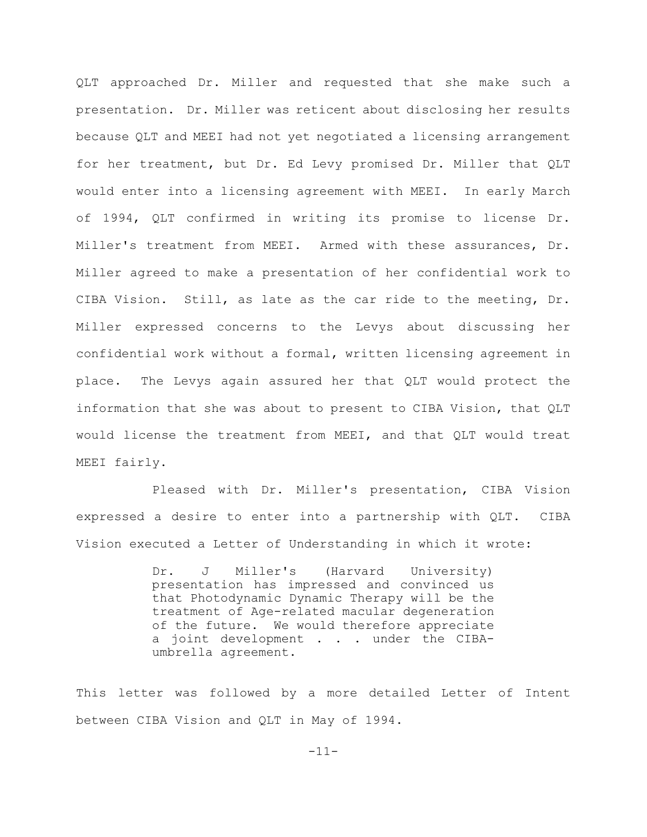QLT approached Dr. Miller and requested that she make such a presentation. Dr. Miller was reticent about disclosing her results because QLT and MEEI had not yet negotiated a licensing arrangement for her treatment, but Dr. Ed Levy promised Dr. Miller that QLT would enter into a licensing agreement with MEEI. In early March of 1994, QLT confirmed in writing its promise to license Dr. Miller's treatment from MEEI. Armed with these assurances, Dr. Miller agreed to make a presentation of her confidential work to CIBA Vision. Still, as late as the car ride to the meeting, Dr. Miller expressed concerns to the Levys about discussing her confidential work without a formal, written licensing agreement in place. The Levys again assured her that QLT would protect the information that she was about to present to CIBA Vision, that QLT would license the treatment from MEEI, and that QLT would treat MEEI fairly.

Pleased with Dr. Miller's presentation, CIBA Vision expressed a desire to enter into a partnership with QLT. CIBA Vision executed a Letter of Understanding in which it wrote:

> Dr. J Miller's (Harvard University) presentation has impressed and convinced us that Photodynamic Dynamic Therapy will be the treatment of Age-related macular degeneration of the future. We would therefore appreciate a joint development . . . under the CIBAumbrella agreement.

This letter was followed by a more detailed Letter of Intent between CIBA Vision and QLT in May of 1994.

-11-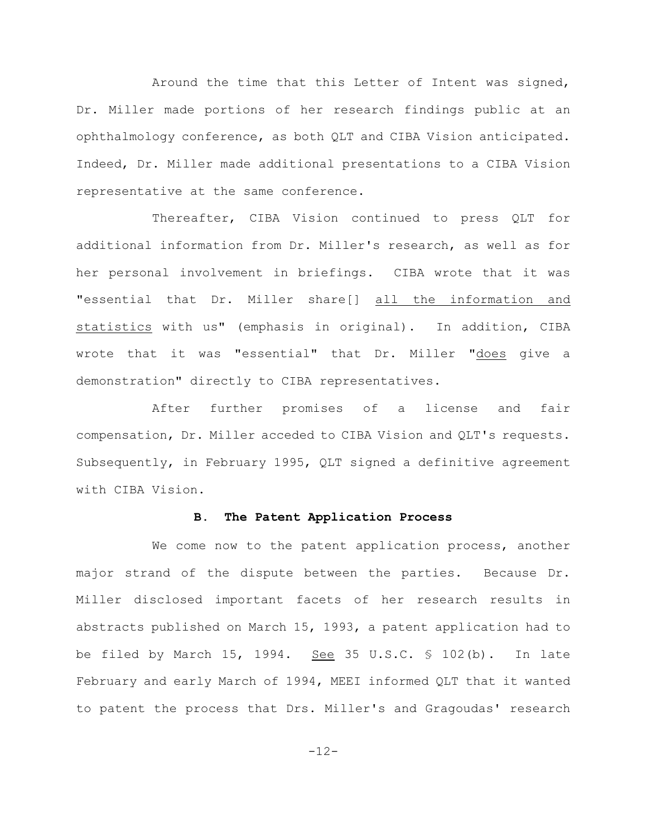Around the time that this Letter of Intent was signed, Dr. Miller made portions of her research findings public at an ophthalmology conference, as both QLT and CIBA Vision anticipated. Indeed, Dr. Miller made additional presentations to a CIBA Vision representative at the same conference.

Thereafter, CIBA Vision continued to press QLT for additional information from Dr. Miller's research, as well as for her personal involvement in briefings. CIBA wrote that it was "essential that Dr. Miller share[] all the information and statistics with us" (emphasis in original). In addition, CIBA wrote that it was "essential" that Dr. Miller "does give a demonstration" directly to CIBA representatives.

After further promises of a license and fair compensation, Dr. Miller acceded to CIBA Vision and QLT's requests. Subsequently, in February 1995, QLT signed a definitive agreement with CIBA Vision.

# **B. The Patent Application Process**

We come now to the patent application process, another major strand of the dispute between the parties. Because Dr. Miller disclosed important facets of her research results in abstracts published on March 15, 1993, a patent application had to be filed by March 15, 1994. See 35 U.S.C. § 102(b). In late February and early March of 1994, MEEI informed QLT that it wanted to patent the process that Drs. Miller's and Gragoudas' research

-12-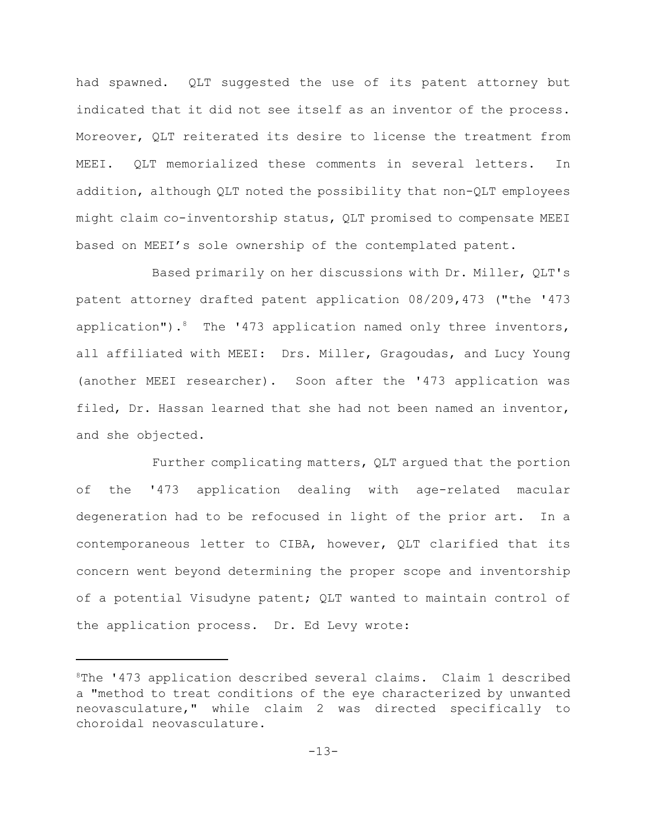had spawned. QLT suggested the use of its patent attorney but indicated that it did not see itself as an inventor of the process. Moreover, QLT reiterated its desire to license the treatment from MEEI. QLT memorialized these comments in several letters. In addition, although QLT noted the possibility that non-QLT employees might claim co-inventorship status, QLT promised to compensate MEEI based on MEEI's sole ownership of the contemplated patent.

Based primarily on her discussions with Dr. Miller, QLT's patent attorney drafted patent application 08/209,473 ("the '473 application"). <sup>8</sup> The '473 application named only three inventors, all affiliated with MEEI: Drs. Miller, Gragoudas, and Lucy Young (another MEEI researcher). Soon after the '473 application was filed, Dr. Hassan learned that she had not been named an inventor, and she objected.

Further complicating matters, QLT argued that the portion of the '473 application dealing with age-related macular degeneration had to be refocused in light of the prior art. In a contemporaneous letter to CIBA, however, QLT clarified that its concern went beyond determining the proper scope and inventorship of a potential Visudyne patent; QLT wanted to maintain control of the application process. Dr. Ed Levy wrote:

 $8$ The '473 application described several claims. Claim 1 described a "method to treat conditions of the eye characterized by unwanted neovasculature," while claim 2 was directed specifically to choroidal neovasculature.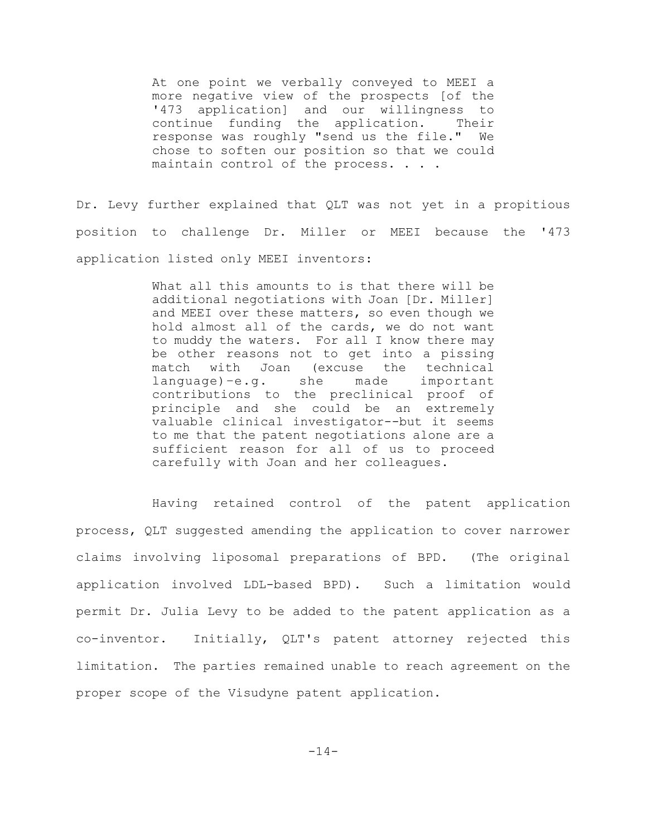At one point we verbally conveyed to MEEI a more negative view of the prospects [of the '473 application] and our willingness to continue funding the application. Their response was roughly "send us the file." We chose to soften our position so that we could maintain control of the process. . . .

Dr. Levy further explained that QLT was not yet in a propitious position to challenge Dr. Miller or MEEI because the '473 application listed only MEEI inventors:

> What all this amounts to is that there will be additional negotiations with Joan [Dr. Miller] and MEEI over these matters, so even though we hold almost all of the cards, we do not want to muddy the waters. For all I know there may be other reasons not to get into a pissing match with Joan (excuse the technical language)–e.g. she made important contributions to the preclinical proof of principle and she could be an extremely valuable clinical investigator--but it seems to me that the patent negotiations alone are a sufficient reason for all of us to proceed carefully with Joan and her colleagues.

Having retained control of the patent application process, QLT suggested amending the application to cover narrower claims involving liposomal preparations of BPD. (The original application involved LDL-based BPD). Such a limitation would permit Dr. Julia Levy to be added to the patent application as a co-inventor. Initially, QLT's patent attorney rejected this limitation. The parties remained unable to reach agreement on the proper scope of the Visudyne patent application.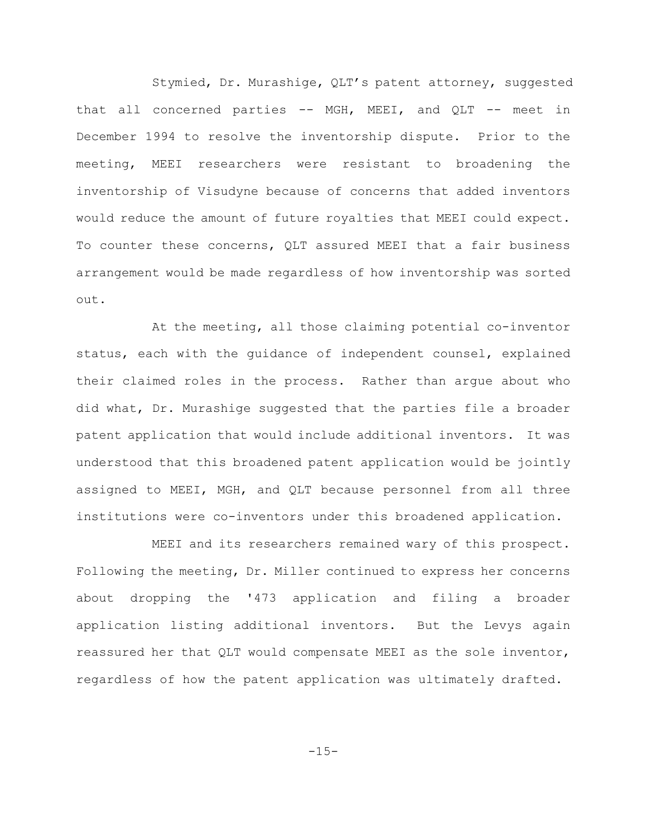Stymied, Dr. Murashige, QLT's patent attorney, suggested that all concerned parties -- MGH, MEEI, and QLT -- meet in December 1994 to resolve the inventorship dispute. Prior to the meeting, MEEI researchers were resistant to broadening the inventorship of Visudyne because of concerns that added inventors would reduce the amount of future royalties that MEEI could expect. To counter these concerns, QLT assured MEEI that a fair business arrangement would be made regardless of how inventorship was sorted out.

At the meeting, all those claiming potential co-inventor status, each with the guidance of independent counsel, explained their claimed roles in the process. Rather than argue about who did what, Dr. Murashige suggested that the parties file a broader patent application that would include additional inventors. It was understood that this broadened patent application would be jointly assigned to MEEI, MGH, and QLT because personnel from all three institutions were co-inventors under this broadened application.

MEEI and its researchers remained wary of this prospect. Following the meeting, Dr. Miller continued to express her concerns about dropping the '473 application and filing a broader application listing additional inventors. But the Levys again reassured her that QLT would compensate MEEI as the sole inventor, regardless of how the patent application was ultimately drafted.

 $-15-$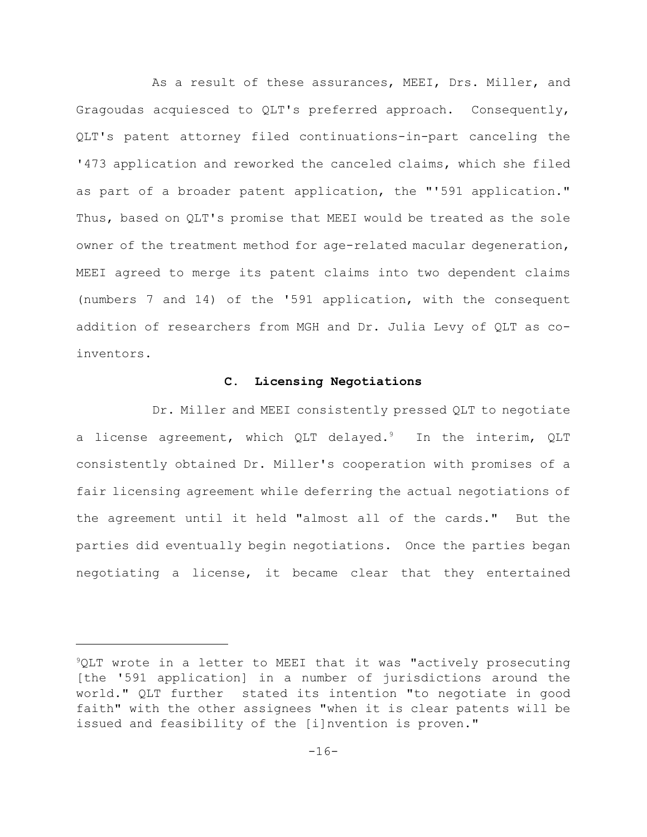As a result of these assurances, MEEI, Drs. Miller, and Gragoudas acquiesced to QLT's preferred approach. Consequently, QLT's patent attorney filed continuations-in-part canceling the '473 application and reworked the canceled claims, which she filed as part of a broader patent application, the "'591 application." Thus, based on QLT's promise that MEEI would be treated as the sole owner of the treatment method for age-related macular degeneration, MEEI agreed to merge its patent claims into two dependent claims (numbers 7 and 14) of the '591 application, with the consequent addition of researchers from MGH and Dr. Julia Levy of QLT as coinventors.

## **C. Licensing Negotiations**

Dr. Miller and MEEI consistently pressed QLT to negotiate a license agreement, which QLT delayed.<sup>9</sup> In the interim, QLT consistently obtained Dr. Miller's cooperation with promises of a fair licensing agreement while deferring the actual negotiations of the agreement until it held "almost all of the cards." But the parties did eventually begin negotiations. Once the parties began negotiating a license, it became clear that they entertained

 $^9$ QLT wrote in a letter to MEEI that it was "actively prosecuting [the '591 application] in a number of jurisdictions around the world." QLT further stated its intention "to negotiate in good faith" with the other assignees "when it is clear patents will be issued and feasibility of the [i]nvention is proven."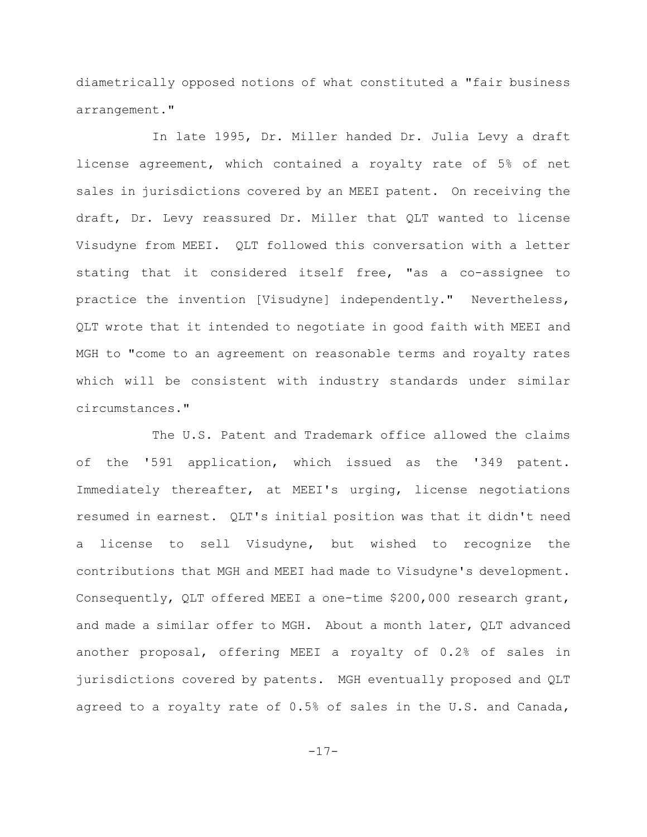diametrically opposed notions of what constituted a "fair business arrangement."

In late 1995, Dr. Miller handed Dr. Julia Levy a draft license agreement, which contained a royalty rate of 5% of net sales in jurisdictions covered by an MEEI patent. On receiving the draft, Dr. Levy reassured Dr. Miller that QLT wanted to license Visudyne from MEEI. QLT followed this conversation with a letter stating that it considered itself free, "as a co-assignee to practice the invention [Visudyne] independently." Nevertheless, QLT wrote that it intended to negotiate in good faith with MEEI and MGH to "come to an agreement on reasonable terms and royalty rates which will be consistent with industry standards under similar circumstances."

The U.S. Patent and Trademark office allowed the claims of the '591 application, which issued as the '349 patent. Immediately thereafter, at MEEI's urging, license negotiations resumed in earnest. QLT's initial position was that it didn't need a license to sell Visudyne, but wished to recognize the contributions that MGH and MEEI had made to Visudyne's development. Consequently, QLT offered MEEI a one-time \$200,000 research grant, and made a similar offer to MGH. About a month later, QLT advanced another proposal, offering MEEI a royalty of 0.2% of sales in jurisdictions covered by patents. MGH eventually proposed and QLT agreed to a royalty rate of 0.5% of sales in the U.S. and Canada,

-17-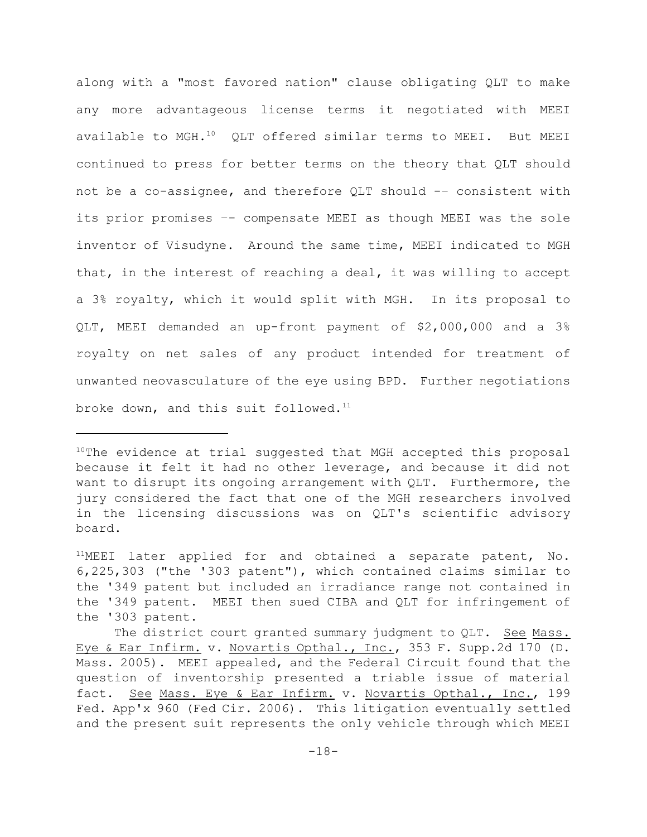along with a "most favored nation" clause obligating QLT to make any more advantageous license terms it negotiated with MEEI available to MGH. $^{10}$  QLT offered similar terms to MEEI. But MEEI continued to press for better terms on the theory that QLT should not be a co-assignee, and therefore QLT should -– consistent with its prior promises –- compensate MEEI as though MEEI was the sole inventor of Visudyne. Around the same time, MEEI indicated to MGH that, in the interest of reaching a deal, it was willing to accept a 3% royalty, which it would split with MGH. In its proposal to QLT, MEEI demanded an up-front payment of \$2,000,000 and a 3% royalty on net sales of any product intended for treatment of unwanted neovasculature of the eye using BPD. Further negotiations broke down, and this suit followed.<sup>11</sup>

 $10$ The evidence at trial suggested that MGH accepted this proposal because it felt it had no other leverage, and because it did not want to disrupt its ongoing arrangement with QLT. Furthermore, the jury considered the fact that one of the MGH researchers involved in the licensing discussions was on QLT's scientific advisory board.

 $11$ MEEI later applied for and obtained a separate patent, No. 6,225,303 ("the '303 patent"), which contained claims similar to the '349 patent but included an irradiance range not contained in the '349 patent. MEEI then sued CIBA and QLT for infringement of the '303 patent.

The district court granted summary judgment to QLT. See Mass. Eye & Ear Infirm. v. Novartis Opthal., Inc., 353 F. Supp.2d 170 (D. Mass. 2005). MEEI appealed, and the Federal Circuit found that the question of inventorship presented a triable issue of material fact. See Mass. Eye & Ear Infirm. v. Novartis Opthal., Inc., 199 Fed. App'x 960 (Fed Cir. 2006). This litigation eventually settled and the present suit represents the only vehicle through which MEEI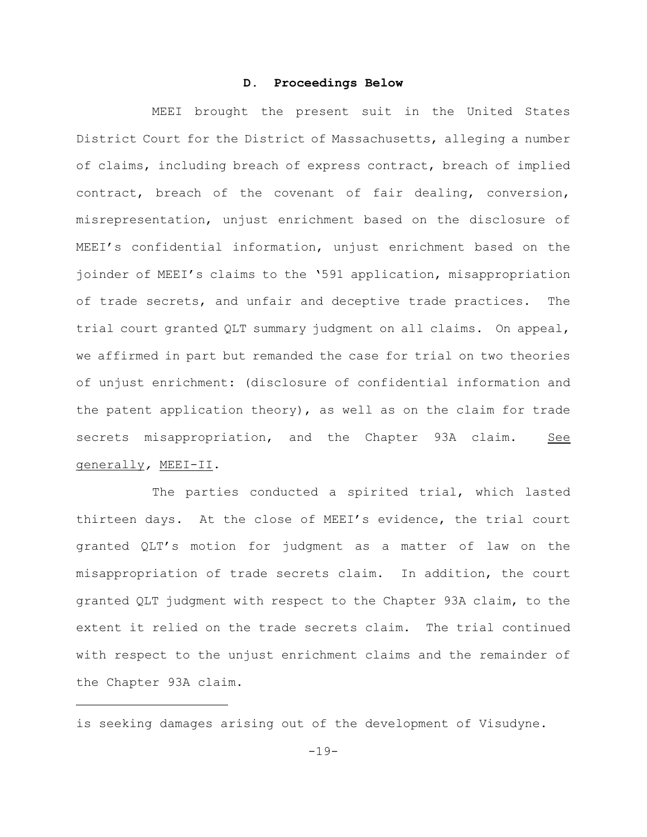#### **D. Proceedings Below**

MEEI brought the present suit in the United States District Court for the District of Massachusetts, alleging a number of claims, including breach of express contract, breach of implied contract, breach of the covenant of fair dealing, conversion, misrepresentation, unjust enrichment based on the disclosure of MEEI's confidential information, unjust enrichment based on the joinder of MEEI's claims to the '591 application, misappropriation of trade secrets, and unfair and deceptive trade practices. The trial court granted QLT summary judgment on all claims. On appeal, we affirmed in part but remanded the case for trial on two theories of unjust enrichment: (disclosure of confidential information and the patent application theory), as well as on the claim for trade secrets misappropriation, and the Chapter 93A claim. See generally*,* MEEI-II.

The parties conducted a spirited trial, which lasted thirteen days. At the close of MEEI's evidence, the trial court granted QLT's motion for judgment as a matter of law on the misappropriation of trade secrets claim. In addition, the court granted QLT judgment with respect to the Chapter 93A claim, to the extent it relied on the trade secrets claim. The trial continued with respect to the unjust enrichment claims and the remainder of the Chapter 93A claim.

is seeking damages arising out of the development of Visudyne.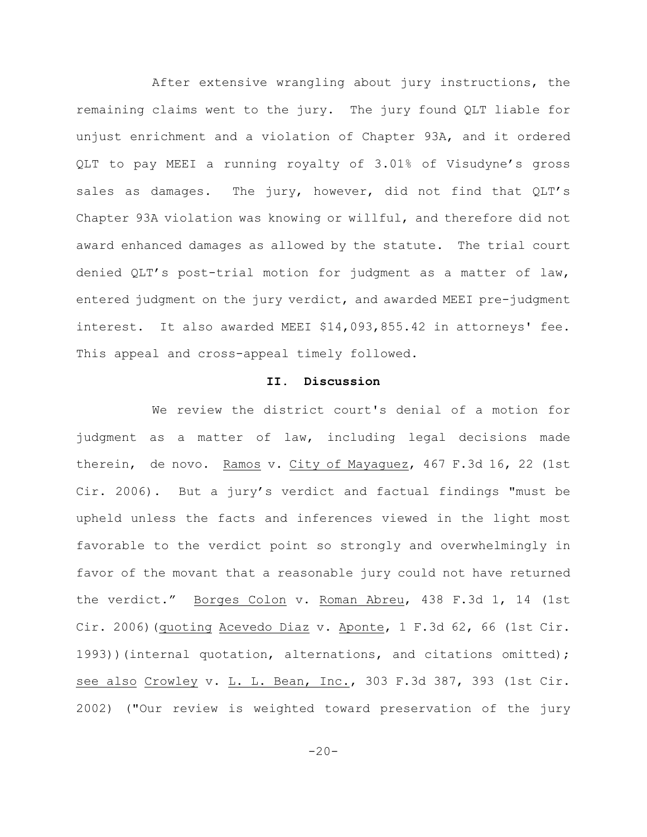After extensive wrangling about jury instructions, the remaining claims went to the jury. The jury found QLT liable for unjust enrichment and a violation of Chapter 93A, and it ordered QLT to pay MEEI a running royalty of 3.01% of Visudyne's gross sales as damages. The jury, however, did not find that QLT's Chapter 93A violation was knowing or willful, and therefore did not award enhanced damages as allowed by the statute. The trial court denied QLT's post-trial motion for judgment as a matter of law, entered judgment on the jury verdict, and awarded MEEI pre-judgment interest. It also awarded MEEI \$14,093,855.42 in attorneys' fee. This appeal and cross-appeal timely followed.

#### **II. Discussion**

We review the district court's denial of a motion for judgment as a matter of law, including legal decisions made therein, de novo. Ramos v. City of Mayaquez, 467 F.3d 16, 22 (1st Cir. 2006). But a jury's verdict and factual findings "must be upheld unless the facts and inferences viewed in the light most favorable to the verdict point so strongly and overwhelmingly in favor of the movant that a reasonable jury could not have returned the verdict." Borges Colon v. Roman Abreu, 438 F.3d 1, 14 (1st Cir. 2006) (quoting Acevedo Diaz v. Aponte, 1 F.3d 62, 66 (1st Cir. 1993))(internal quotation, alternations, and citations omitted); see also Crowley v. L. L. Bean, Inc., 303 F.3d 387, 393 (1st Cir. 2002) ("Our review is weighted toward preservation of the jury

 $-20-$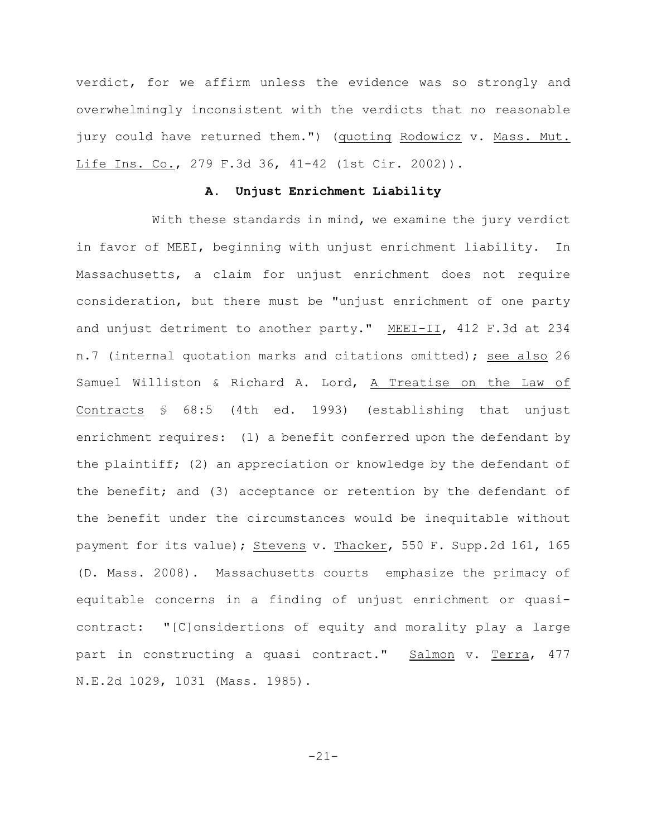verdict, for we affirm unless the evidence was so strongly and overwhelmingly inconsistent with the verdicts that no reasonable jury could have returned them.") (quoting Rodowicz v. Mass. Mut. Life Ins. Co., 279 F.3d 36, 41-42 (1st Cir. 2002)).

# **A. Unjust Enrichment Liability**

With these standards in mind, we examine the jury verdict in favor of MEEI, beginning with unjust enrichment liability. In Massachusetts, a claim for unjust enrichment does not require consideration, but there must be "unjust enrichment of one party and unjust detriment to another party." MEEI-II, 412 F.3d at 234 n.7 (internal quotation marks and citations omitted); see also 26 Samuel Williston & Richard A. Lord, A Treatise on the Law of Contracts § 68:5 (4th ed. 1993) (establishing that unjust enrichment requires: (1) a benefit conferred upon the defendant by the plaintiff; (2) an appreciation or knowledge by the defendant of the benefit; and (3) acceptance or retention by the defendant of the benefit under the circumstances would be inequitable without payment for its value); Stevens v. Thacker, 550 F. Supp.2d 161, 165 (D. Mass. 2008). Massachusetts courts emphasize the primacy of equitable concerns in a finding of unjust enrichment or quasicontract: "[C]onsidertions of equity and morality play a large part in constructing a quasi contract." Salmon v. Terra, 477 N.E.2d 1029, 1031 (Mass. 1985).

-21-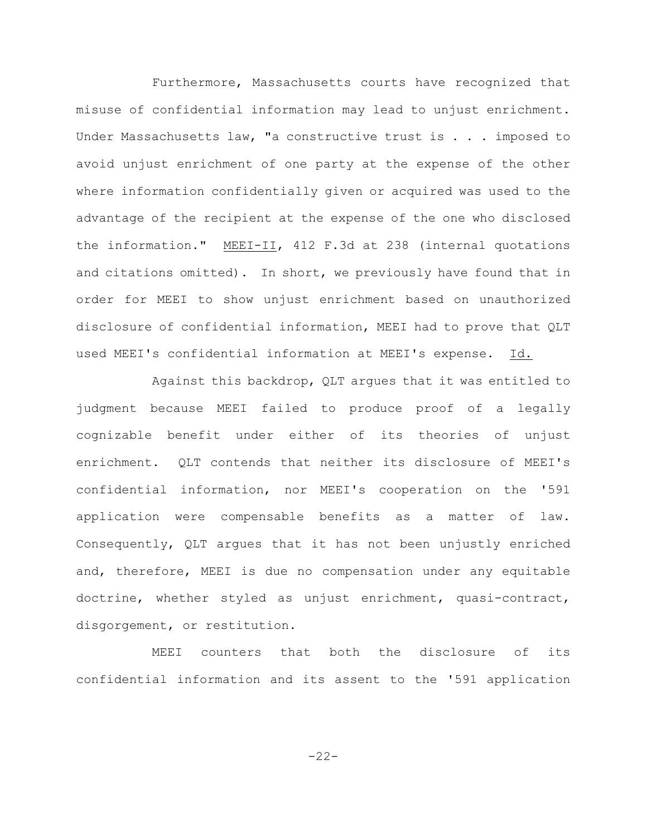Furthermore, Massachusetts courts have recognized that misuse of confidential information may lead to unjust enrichment. Under Massachusetts law, "a constructive trust is . . . imposed to avoid unjust enrichment of one party at the expense of the other where information confidentially given or acquired was used to the advantage of the recipient at the expense of the one who disclosed the information." MEEI-II, 412 F.3d at 238 (internal quotations and citations omitted). In short, we previously have found that in order for MEEI to show unjust enrichment based on unauthorized disclosure of confidential information, MEEI had to prove that QLT used MEEI's confidential information at MEEI's expense. Id.

Against this backdrop, QLT argues that it was entitled to judgment because MEEI failed to produce proof of a legally cognizable benefit under either of its theories of unjust enrichment. QLT contends that neither its disclosure of MEEI's confidential information, nor MEEI's cooperation on the '591 application were compensable benefits as a matter of law. Consequently, QLT argues that it has not been unjustly enriched and, therefore, MEEI is due no compensation under any equitable doctrine, whether styled as unjust enrichment, quasi-contract, disgorgement, or restitution.

MEEI counters that both the disclosure of its confidential information and its assent to the '591 application

-22-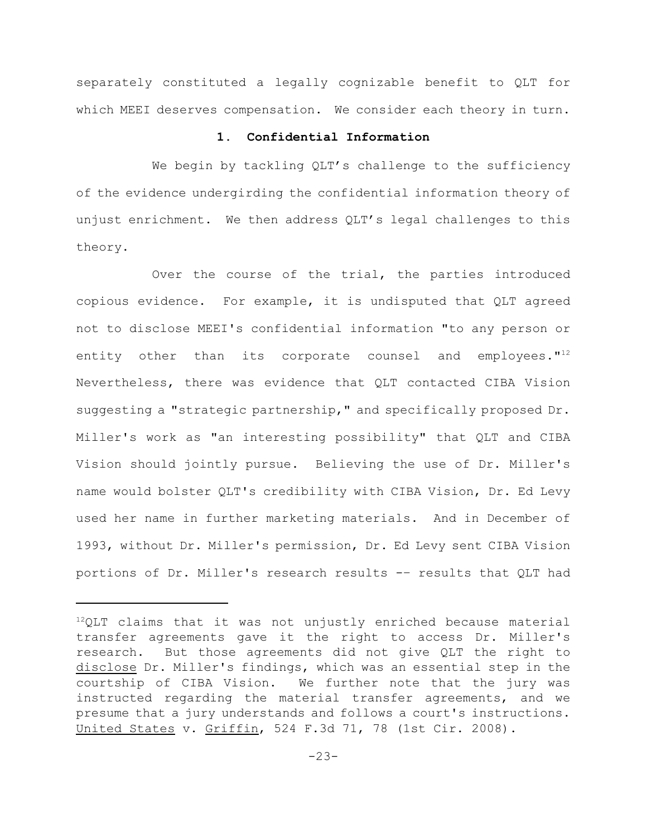separately constituted a legally cognizable benefit to QLT for which MEEI deserves compensation. We consider each theory in turn.

#### **1. Confidential Information**

We begin by tackling QLT's challenge to the sufficiency of the evidence undergirding the confidential information theory of unjust enrichment. We then address QLT's legal challenges to this theory.

Over the course of the trial, the parties introduced copious evidence. For example, it is undisputed that QLT agreed not to disclose MEEI's confidential information "to any person or entity other than its corporate counsel and employees."<sup>12</sup> Nevertheless, there was evidence that QLT contacted CIBA Vision suggesting a "strategic partnership," and specifically proposed Dr. Miller's work as "an interesting possibility" that QLT and CIBA Vision should jointly pursue. Believing the use of Dr. Miller's name would bolster QLT's credibility with CIBA Vision, Dr. Ed Levy used her name in further marketing materials. And in December of 1993, without Dr. Miller's permission, Dr. Ed Levy sent CIBA Vision portions of Dr. Miller's research results -– results that QLT had

 $^{12}$ QLT claims that it was not unjustly enriched because material transfer agreements gave it the right to access Dr. Miller's research. But those agreements did not give QLT the right to disclose Dr. Miller's findings, which was an essential step in the courtship of CIBA Vision. We further note that the jury was instructed regarding the material transfer agreements, and we presume that a jury understands and follows a court's instructions. United States v. Griffin, 524 F.3d 71, 78 (1st Cir. 2008).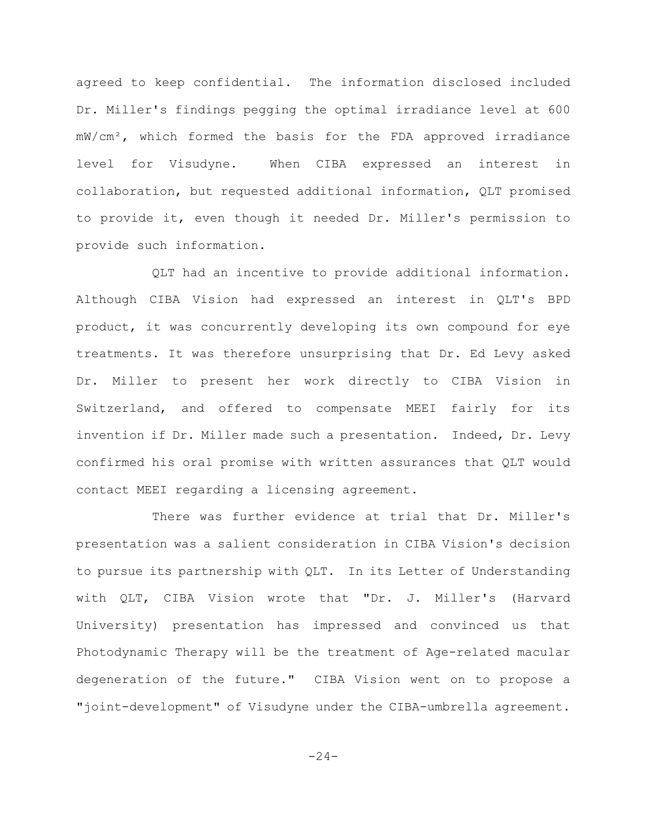agreed to keep confidential. The information disclosed included Dr. Miller's findings pegging the optimal irradiance level at 600  $mW/cm<sup>2</sup>$ , which formed the basis for the FDA approved irradiance level for Visudyne. When CIBA expressed an interest in collaboration, but requested additional information, QLT promised to provide it, even though it needed Dr. Miller's permission to provide such information.

QLT had an incentive to provide additional information. Although CIBA Vision had expressed an interest in QLT's BPD product, it was concurrently developing its own compound for eye treatments. It was therefore unsurprising that Dr. Ed Levy asked Dr. Miller to present her work directly to CIBA Vision in Switzerland, and offered to compensate MEEI fairly for its invention if Dr. Miller made such a presentation. Indeed, Dr. Levy confirmed his oral promise with written assurances that QLT would contact MEEI regarding a licensing agreement.

There was further evidence at trial that Dr. Miller's presentation was a salient consideration in CIBA Vision's decision to pursue its partnership with QLT. In its Letter of Understanding with QLT, CIBA Vision wrote that "Dr. J. Miller's (Harvard University) presentation has impressed and convinced us that Photodynamic Therapy will be the treatment of Age-related macular degeneration of the future." CIBA Vision went on to propose a "joint-development" of Visudyne under the CIBA-umbrella agreement.

 $-24-$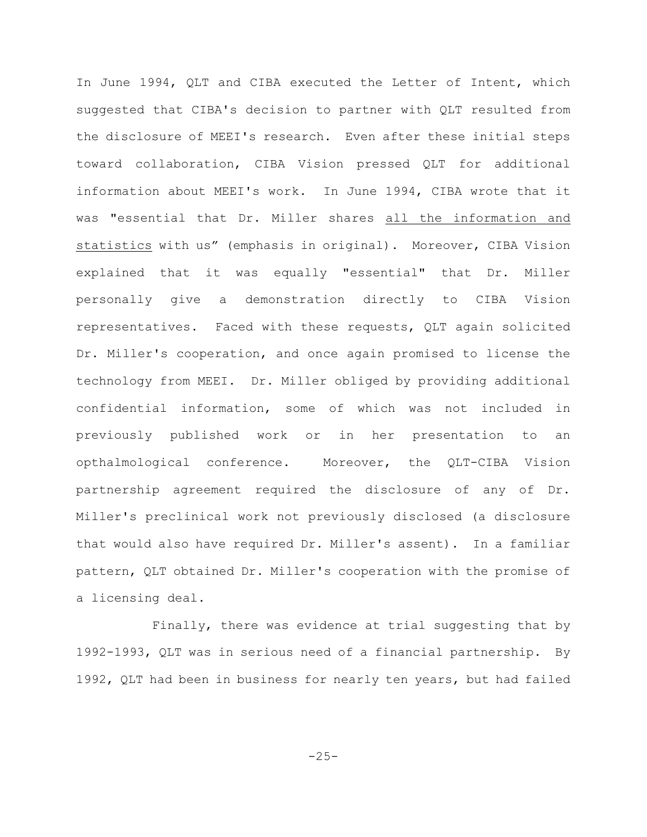In June 1994, QLT and CIBA executed the Letter of Intent, which suggested that CIBA's decision to partner with QLT resulted from the disclosure of MEEI's research. Even after these initial steps toward collaboration, CIBA Vision pressed QLT for additional information about MEEI's work. In June 1994, CIBA wrote that it was "essential that Dr. Miller shares all the information and statistics with us" (emphasis in original). Moreover, CIBA Vision explained that it was equally "essential" that Dr. Miller personally give a demonstration directly to CIBA Vision representatives. Faced with these requests, QLT again solicited Dr. Miller's cooperation, and once again promised to license the technology from MEEI. Dr. Miller obliged by providing additional confidential information, some of which was not included in previously published work or in her presentation to an opthalmological conference. Moreover, the QLT-CIBA Vision partnership agreement required the disclosure of any of Dr. Miller's preclinical work not previously disclosed (a disclosure that would also have required Dr. Miller's assent). In a familiar pattern, QLT obtained Dr. Miller's cooperation with the promise of a licensing deal.

Finally, there was evidence at trial suggesting that by 1992-1993, QLT was in serious need of a financial partnership. By 1992, QLT had been in business for nearly ten years, but had failed

 $-25-$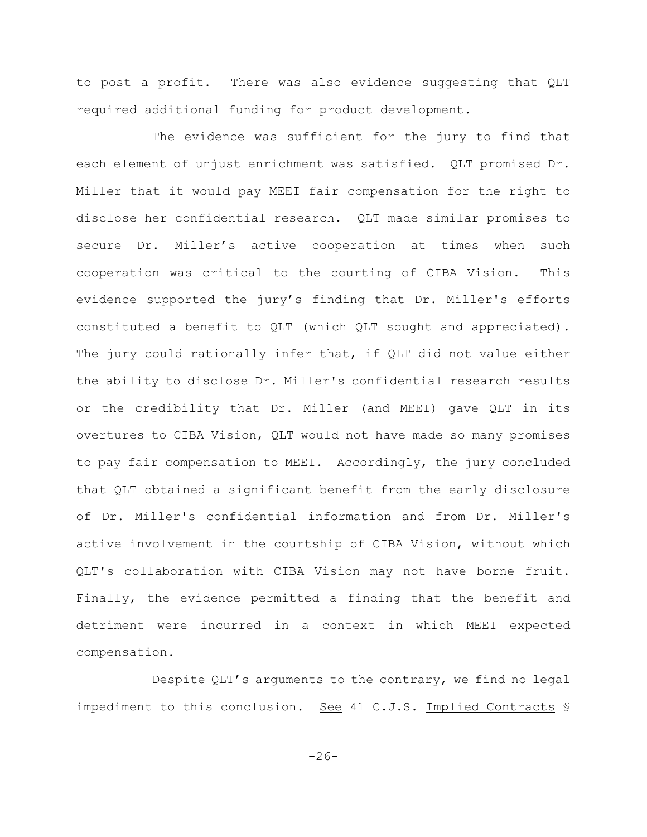to post a profit. There was also evidence suggesting that QLT required additional funding for product development.

The evidence was sufficient for the jury to find that each element of unjust enrichment was satisfied. QLT promised Dr. Miller that it would pay MEEI fair compensation for the right to disclose her confidential research. QLT made similar promises to secure Dr. Miller's active cooperation at times when such cooperation was critical to the courting of CIBA Vision. This evidence supported the jury's finding that Dr. Miller's efforts constituted a benefit to QLT (which QLT sought and appreciated). The jury could rationally infer that, if QLT did not value either the ability to disclose Dr. Miller's confidential research results or the credibility that Dr. Miller (and MEEI) gave QLT in its overtures to CIBA Vision, QLT would not have made so many promises to pay fair compensation to MEEI. Accordingly, the jury concluded that QLT obtained a significant benefit from the early disclosure of Dr. Miller's confidential information and from Dr. Miller's active involvement in the courtship of CIBA Vision, without which QLT's collaboration with CIBA Vision may not have borne fruit. Finally, the evidence permitted a finding that the benefit and detriment were incurred in a context in which MEEI expected compensation.

Despite QLT's arguments to the contrary, we find no legal impediment to this conclusion. See 41 C.J.S. Implied Contracts §

 $-26-$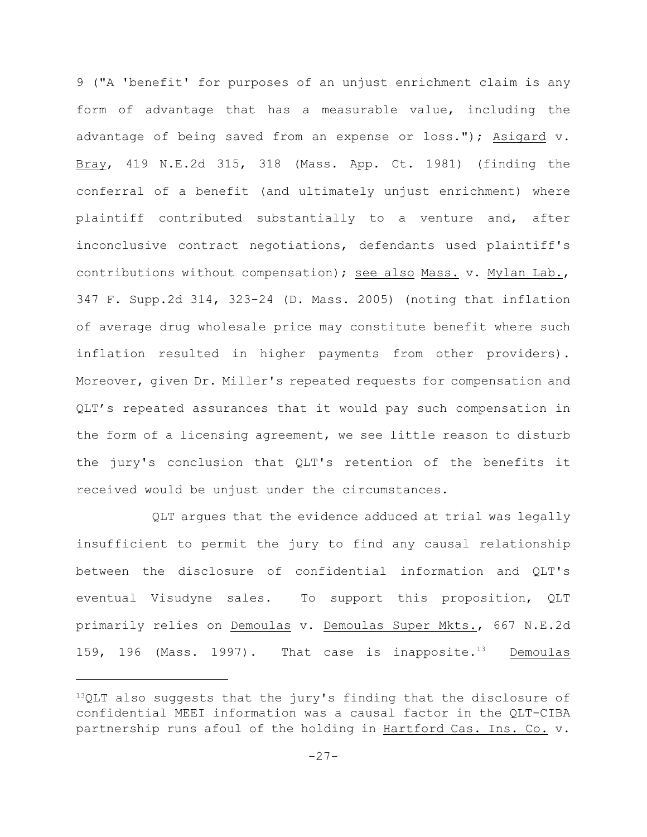9 ("A 'benefit' for purposes of an unjust enrichment claim is any form of advantage that has a measurable value, including the advantage of being saved from an expense or loss."); Asigard v. Bray, 419 N.E.2d 315, 318 (Mass. App. Ct. 1981) (finding the conferral of a benefit (and ultimately unjust enrichment) where plaintiff contributed substantially to a venture and, after inconclusive contract negotiations, defendants used plaintiff's contributions without compensation); see also Mass. v. Mylan Lab., 347 F. Supp.2d 314, 323-24 (D. Mass. 2005) (noting that inflation of average drug wholesale price may constitute benefit where such inflation resulted in higher payments from other providers). Moreover, given Dr. Miller's repeated requests for compensation and QLT's repeated assurances that it would pay such compensation in the form of a licensing agreement, we see little reason to disturb the jury's conclusion that QLT's retention of the benefits it received would be unjust under the circumstances.

QLT argues that the evidence adduced at trial was legally insufficient to permit the jury to find any causal relationship between the disclosure of confidential information and QLT's eventual Visudyne sales. To support this proposition, QLT primarily relies on Demoulas v. Demoulas Super Mkts., 667 N.E.2d 159, 196 (Mass. 1997). That case is inapposite.<sup>13</sup> Demoulas

 $13QLT$  also suggests that the jury's finding that the disclosure of confidential MEEI information was a causal factor in the QLT-CIBA partnership runs afoul of the holding in Hartford Cas. Ins. Co. v.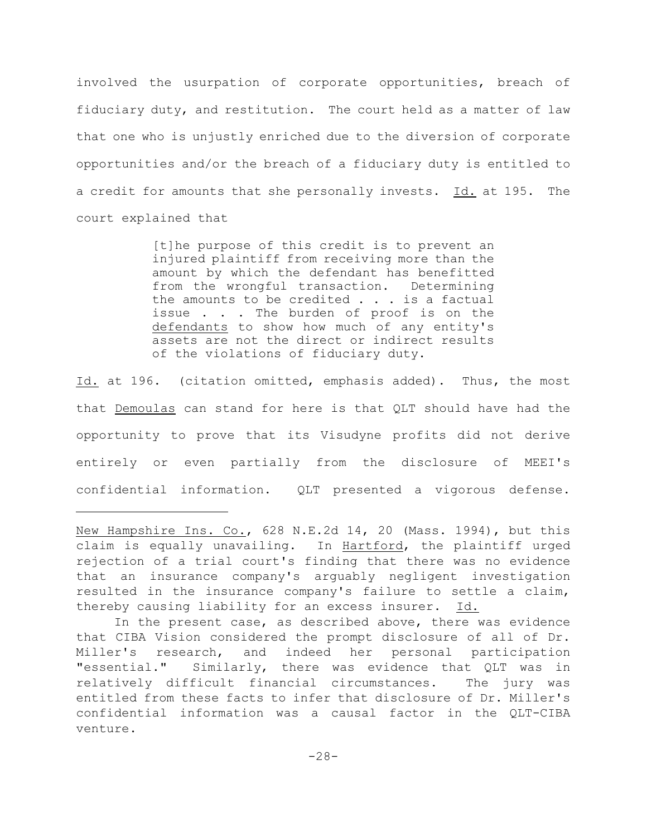involved the usurpation of corporate opportunities, breach of fiduciary duty, and restitution. The court held as a matter of law that one who is unjustly enriched due to the diversion of corporate opportunities and/or the breach of a fiduciary duty is entitled to a credit for amounts that she personally invests. Id. at 195. The court explained that

> [t]he purpose of this credit is to prevent an injured plaintiff from receiving more than the amount by which the defendant has benefitted from the wrongful transaction. Determining the amounts to be credited . . . is a factual issue . . . The burden of proof is on the defendants to show how much of any entity's assets are not the direct or indirect results of the violations of fiduciary duty.

Id. at 196. (citation omitted, emphasis added). Thus, the most that Demoulas can stand for here is that QLT should have had the opportunity to prove that its Visudyne profits did not derive entirely or even partially from the disclosure of MEEI's confidential information. QLT presented a vigorous defense.

New Hampshire Ins. Co., 628 N.E.2d 14, 20 (Mass. 1994), but this claim is equally unavailing. In Hartford, the plaintiff urged rejection of a trial court's finding that there was no evidence that an insurance company's arguably negligent investigation resulted in the insurance company's failure to settle a claim, thereby causing liability for an excess insurer. Id.

In the present case, as described above, there was evidence that CIBA Vision considered the prompt disclosure of all of Dr. Miller's research, and indeed her personal participation "essential." Similarly, there was evidence that QLT was in relatively difficult financial circumstances. The jury was entitled from these facts to infer that disclosure of Dr. Miller's confidential information was a causal factor in the QLT-CIBA venture.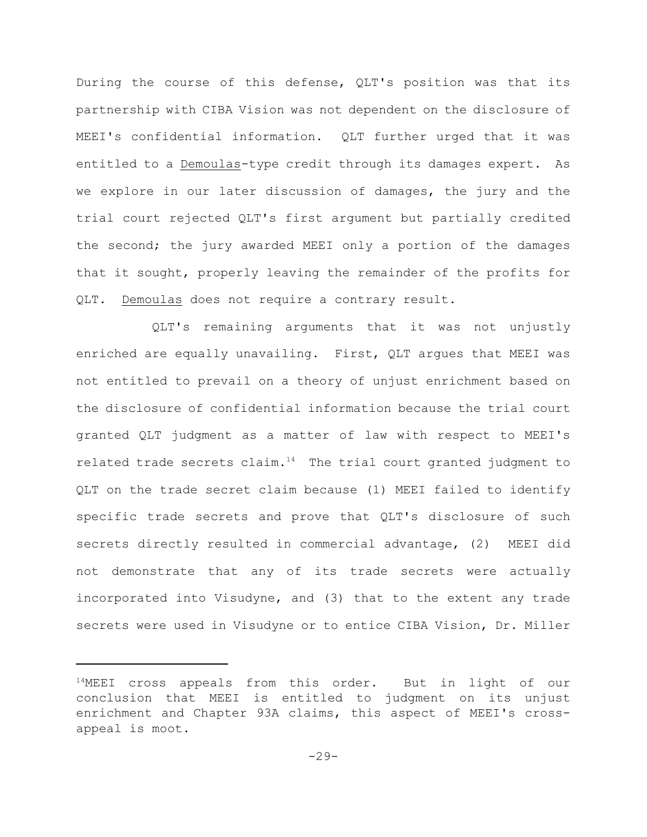During the course of this defense, QLT's position was that its partnership with CIBA Vision was not dependent on the disclosure of MEEI's confidential information. QLT further urged that it was entitled to a Demoulas-type credit through its damages expert. As we explore in our later discussion of damages, the jury and the trial court rejected QLT's first argument but partially credited the second; the jury awarded MEEI only a portion of the damages that it sought, properly leaving the remainder of the profits for QLT. Demoulas does not require a contrary result.

QLT's remaining arguments that it was not unjustly enriched are equally unavailing. First, QLT argues that MEEI was not entitled to prevail on a theory of unjust enrichment based on the disclosure of confidential information because the trial court granted QLT judgment as a matter of law with respect to MEEI's related trade secrets claim.<sup>14</sup> The trial court granted judgment to QLT on the trade secret claim because (1) MEEI failed to identify specific trade secrets and prove that QLT's disclosure of such secrets directly resulted in commercial advantage, (2) MEEI did not demonstrate that any of its trade secrets were actually incorporated into Visudyne, and (3) that to the extent any trade secrets were used in Visudyne or to entice CIBA Vision, Dr. Miller

 $14$ MEEI cross appeals from this order. But in light of our conclusion that MEEI is entitled to judgment on its unjust enrichment and Chapter 93A claims, this aspect of MEEI's crossappeal is moot.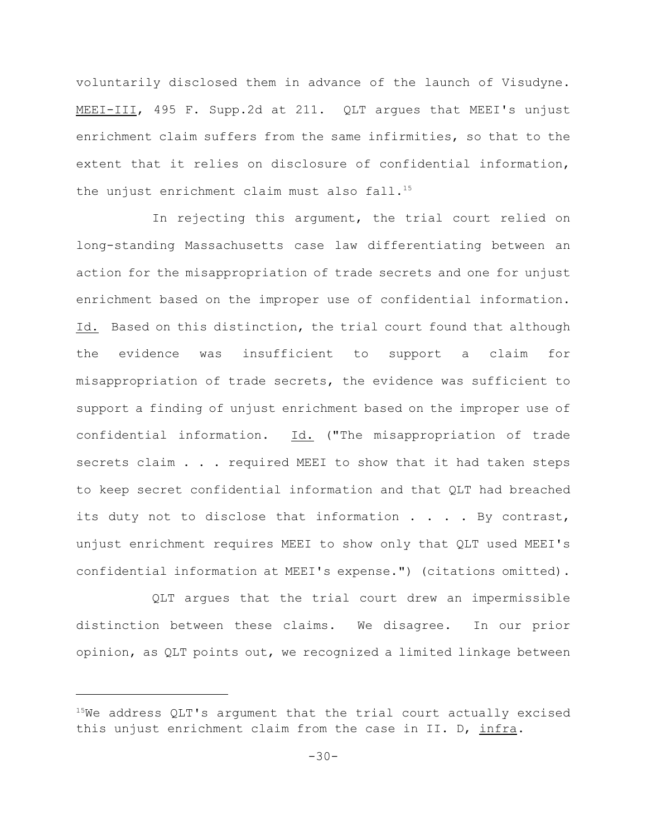voluntarily disclosed them in advance of the launch of Visudyne. MEEI-III, 495 F. Supp.2d at 211. QLT argues that MEEI's unjust enrichment claim suffers from the same infirmities, so that to the extent that it relies on disclosure of confidential information, the unjust enrichment claim must also fall.<sup>15</sup>

In rejecting this argument, the trial court relied on long-standing Massachusetts case law differentiating between an action for the misappropriation of trade secrets and one for unjust enrichment based on the improper use of confidential information. Id. Based on this distinction, the trial court found that although the evidence was insufficient to support a claim for misappropriation of trade secrets, the evidence was sufficient to support a finding of unjust enrichment based on the improper use of confidential information. Id. ("The misappropriation of trade secrets claim . . . required MEEI to show that it had taken steps to keep secret confidential information and that QLT had breached its duty not to disclose that information . . . . By contrast, unjust enrichment requires MEEI to show only that QLT used MEEI's confidential information at MEEI's expense.") (citations omitted).

QLT argues that the trial court drew an impermissible distinction between these claims. We disagree. In our prior opinion, as QLT points out, we recognized a limited linkage between

 $15$ We address QLT's argument that the trial court actually excised this unjust enrichment claim from the case in II. D, infra.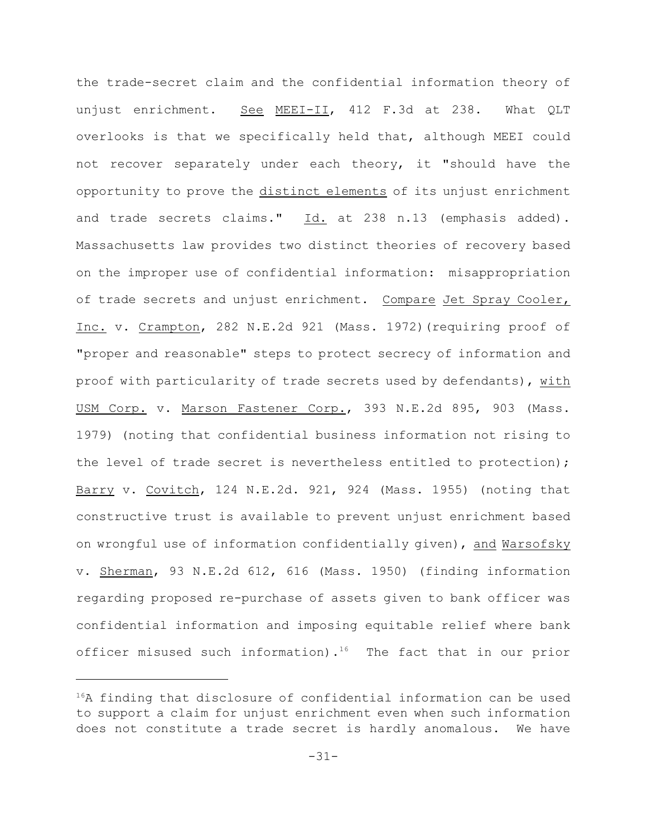the trade-secret claim and the confidential information theory of unjust enrichment. See MEEI-II, 412 F.3d at 238. What QLT overlooks is that we specifically held that, although MEEI could not recover separately under each theory, it "should have the opportunity to prove the distinct elements of its unjust enrichment and trade secrets claims." Id. at 238 n.13 (emphasis added). Massachusetts law provides two distinct theories of recovery based on the improper use of confidential information: misappropriation of trade secrets and unjust enrichment. Compare Jet Spray Cooler, Inc. v. Crampton, 282 N.E.2d 921 (Mass. 1972)(requiring proof of "proper and reasonable" steps to protect secrecy of information and proof with particularity of trade secrets used by defendants), with USM Corp. v. Marson Fastener Corp., 393 N.E.2d 895, 903 (Mass. 1979) (noting that confidential business information not rising to the level of trade secret is nevertheless entitled to protection); Barry v. Covitch, 124 N.E.2d. 921, 924 (Mass. 1955) (noting that constructive trust is available to prevent unjust enrichment based on wrongful use of information confidentially given), and Warsofsky v. Sherman, 93 N.E.2d 612, 616 (Mass. 1950) (finding information regarding proposed re-purchase of assets given to bank officer was confidential information and imposing equitable relief where bank officer misused such information).<sup>16</sup> The fact that in our prior

 $16A$  finding that disclosure of confidential information can be used to support a claim for unjust enrichment even when such information does not constitute a trade secret is hardly anomalous. We have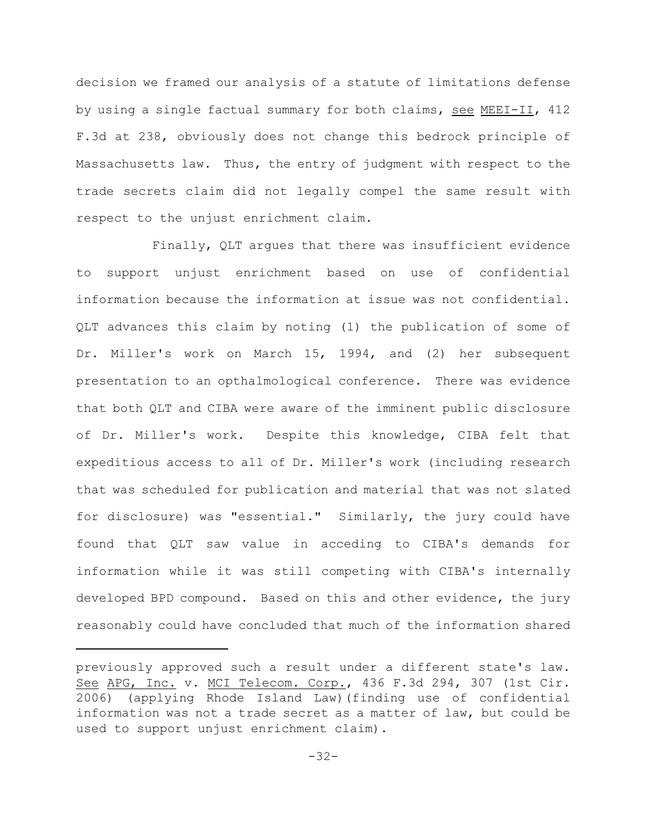decision we framed our analysis of a statute of limitations defense by using a single factual summary for both claims, see MEEI-II, 412 F.3d at 238, obviously does not change this bedrock principle of Massachusetts law. Thus, the entry of judgment with respect to the trade secrets claim did not legally compel the same result with respect to the unjust enrichment claim.

Finally, QLT argues that there was insufficient evidence to support unjust enrichment based on use of confidential information because the information at issue was not confidential. QLT advances this claim by noting (1) the publication of some of Dr. Miller's work on March 15, 1994, and (2) her subsequent presentation to an opthalmological conference. There was evidence that both QLT and CIBA were aware of the imminent public disclosure of Dr. Miller's work. Despite this knowledge, CIBA felt that expeditious access to all of Dr. Miller's work (including research that was scheduled for publication and material that was not slated for disclosure) was "essential." Similarly, the jury could have found that QLT saw value in acceding to CIBA's demands for information while it was still competing with CIBA's internally developed BPD compound. Based on this and other evidence, the jury reasonably could have concluded that much of the information shared

previously approved such a result under a different state's law. See APG, Inc. v. MCI Telecom. Corp., 436 F.3d 294, 307 (1st Cir. 2006) (applying Rhode Island Law)(finding use of confidential information was not a trade secret as a matter of law, but could be used to support unjust enrichment claim).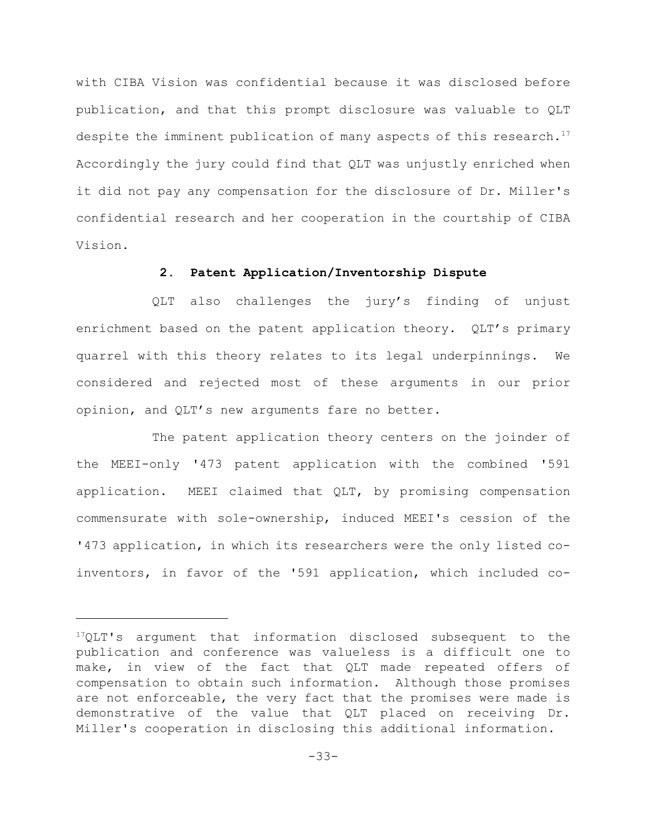with CIBA Vision was confidential because it was disclosed before publication, and that this prompt disclosure was valuable to QLT despite the imminent publication of many aspects of this research.<sup>17</sup> Accordingly the jury could find that QLT was unjustly enriched when it did not pay any compensation for the disclosure of Dr. Miller's confidential research and her cooperation in the courtship of CIBA Vision.

# **2. Patent Application/Inventorship Dispute**

QLT also challenges the jury's finding of unjust enrichment based on the patent application theory. QLT's primary quarrel with this theory relates to its legal underpinnings. We considered and rejected most of these arguments in our prior opinion, and QLT's new arguments fare no better.

The patent application theory centers on the joinder of the MEEI-only '473 patent application with the combined '591 application. MEEI claimed that QLT, by promising compensation commensurate with sole-ownership, induced MEEI's cession of the '473 application, in which its researchers were the only listed coinventors, in favor of the '591 application, which included co-

 $17QLT$ 's argument that information disclosed subsequent to the publication and conference was valueless is a difficult one to make, in view of the fact that QLT made repeated offers of compensation to obtain such information. Although those promises are not enforceable, the very fact that the promises were made is demonstrative of the value that QLT placed on receiving Dr. Miller's cooperation in disclosing this additional information.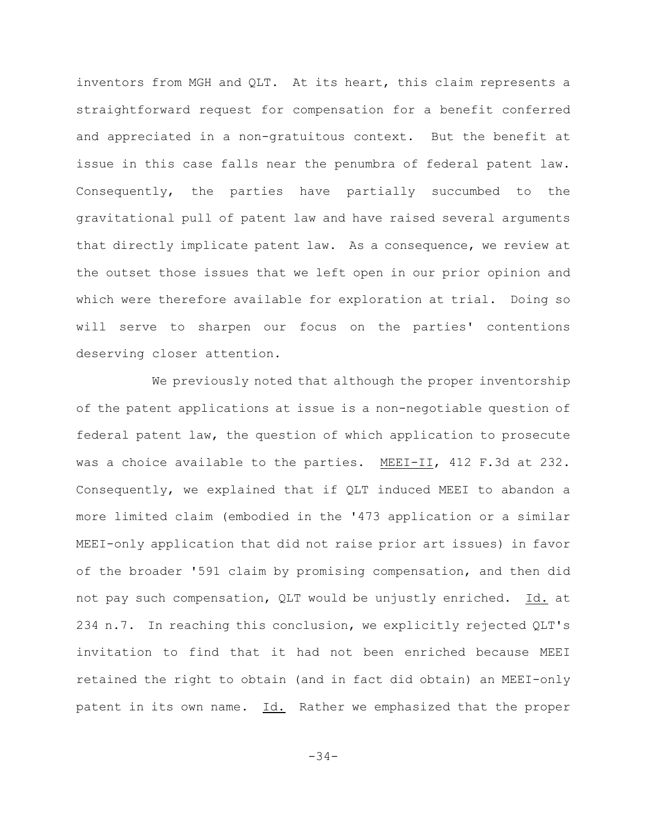inventors from MGH and QLT. At its heart, this claim represents a straightforward request for compensation for a benefit conferred and appreciated in a non-gratuitous context. But the benefit at issue in this case falls near the penumbra of federal patent law. Consequently, the parties have partially succumbed to the gravitational pull of patent law and have raised several arguments that directly implicate patent law. As a consequence, we review at the outset those issues that we left open in our prior opinion and which were therefore available for exploration at trial. Doing so will serve to sharpen our focus on the parties' contentions deserving closer attention.

We previously noted that although the proper inventorship of the patent applications at issue is a non-negotiable question of federal patent law, the question of which application to prosecute was a choice available to the parties. MEEI-II, 412 F.3d at 232. Consequently, we explained that if QLT induced MEEI to abandon a more limited claim (embodied in the '473 application or a similar MEEI-only application that did not raise prior art issues) in favor of the broader '591 claim by promising compensation, and then did not pay such compensation, QLT would be unjustly enriched. Id. at 234 n.7. In reaching this conclusion, we explicitly rejected QLT's invitation to find that it had not been enriched because MEEI retained the right to obtain (and in fact did obtain) an MEEI-only patent in its own name. Id. Rather we emphasized that the proper

-34-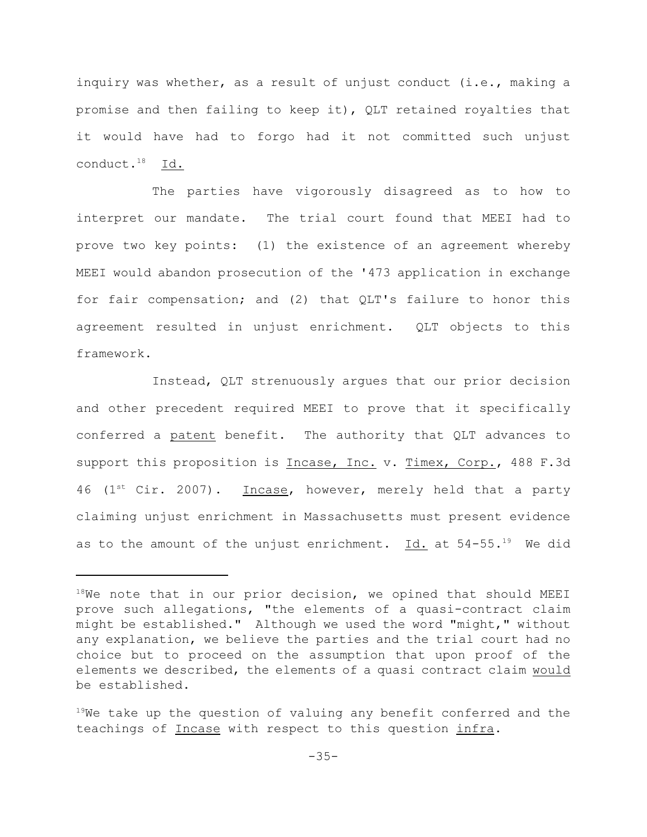inquiry was whether, as a result of unjust conduct (i.e., making a promise and then failing to keep it), QLT retained royalties that it would have had to forgo had it not committed such unjust conduct. $18$  Id.

The parties have vigorously disagreed as to how to interpret our mandate. The trial court found that MEEI had to prove two key points: (1) the existence of an agreement whereby MEEI would abandon prosecution of the '473 application in exchange for fair compensation; and (2) that QLT's failure to honor this agreement resulted in unjust enrichment. QLT objects to this framework.

Instead, QLT strenuously argues that our prior decision and other precedent required MEEI to prove that it specifically conferred a patent benefit. The authority that QLT advances to support this proposition is Incase, Inc. v. Timex, Corp., 488 F.3d 46 ( $1<sup>st</sup>$  Cir. 2007). Incase, however, merely held that a party claiming unjust enrichment in Massachusetts must present evidence as to the amount of the unjust enrichment. Id. at  $54-55.^{19}$  We did

 $18$ We note that in our prior decision, we opined that should MEEI prove such allegations, "the elements of a quasi-contract claim might be established." Although we used the word "might," without any explanation, we believe the parties and the trial court had no choice but to proceed on the assumption that upon proof of the elements we described, the elements of a quasi contract claim would be established.

 $19$ We take up the question of valuing any benefit conferred and the teachings of Incase with respect to this question infra.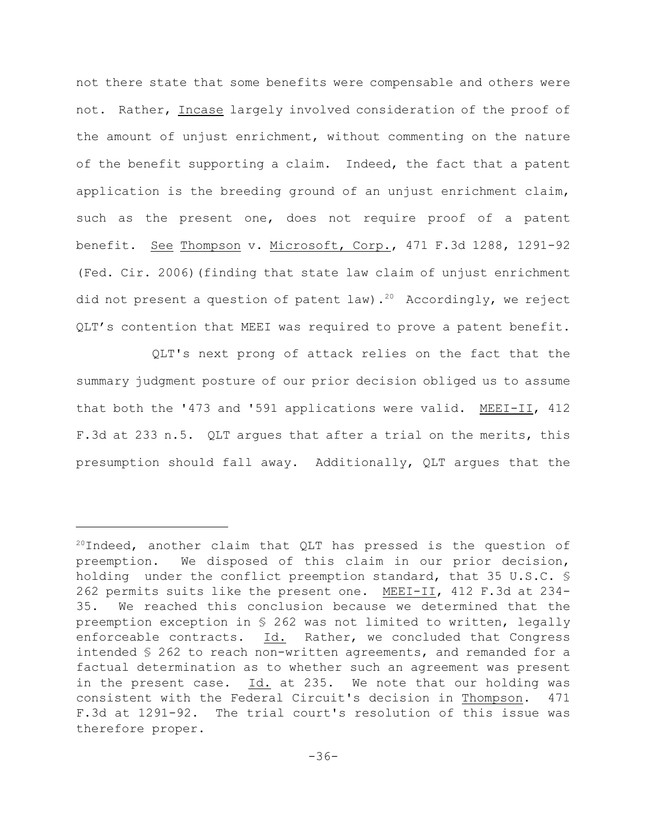not there state that some benefits were compensable and others were not. Rather, Incase largely involved consideration of the proof of the amount of unjust enrichment, without commenting on the nature of the benefit supporting a claim. Indeed, the fact that a patent application is the breeding ground of an unjust enrichment claim, such as the present one, does not require proof of a patent benefit. See Thompson v. Microsoft, Corp., 471 F.3d 1288, 1291-92 (Fed. Cir. 2006)(finding that state law claim of unjust enrichment did not present a question of patent law).<sup>20</sup> Accordingly, we reject QLT's contention that MEEI was required to prove a patent benefit.

QLT's next prong of attack relies on the fact that the summary judgment posture of our prior decision obliged us to assume that both the '473 and '591 applications were valid. MEEI-II, 412 F.3d at 233 n.5. QLT argues that after a trial on the merits, this presumption should fall away. Additionally, QLT argues that the

 $20$ Indeed, another claim that QLT has pressed is the question of preemption. We disposed of this claim in our prior decision, holding under the conflict preemption standard, that 35 U.S.C. § 262 permits suits like the present one. MEEI-II, 412 F.3d at 234- 35. We reached this conclusion because we determined that the preemption exception in § 262 was not limited to written, legally enforceable contracts. Id. Rather, we concluded that Congress intended § 262 to reach non-written agreements, and remanded for a factual determination as to whether such an agreement was present in the present case. Id. at 235. We note that our holding was consistent with the Federal Circuit's decision in Thompson. 471 F.3d at 1291-92. The trial court's resolution of this issue was therefore proper.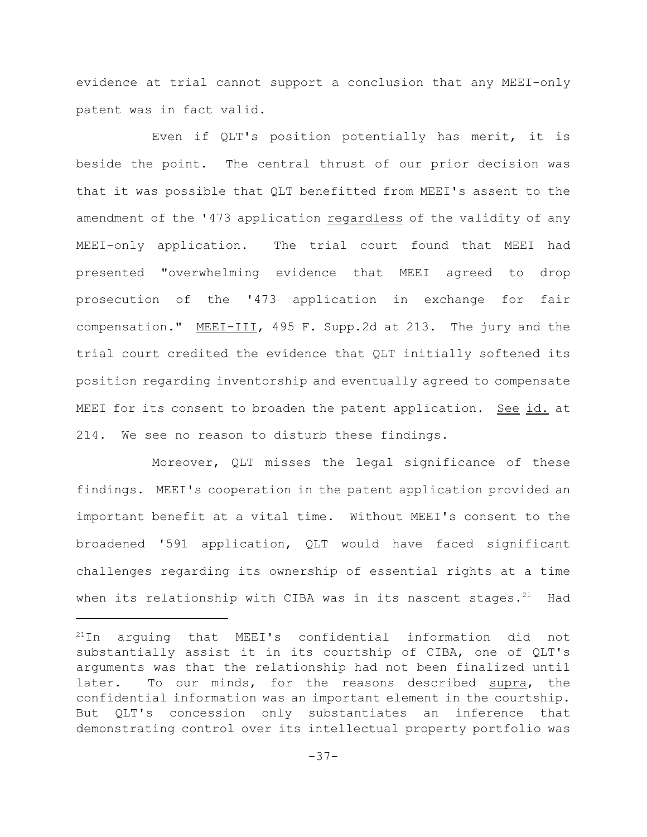evidence at trial cannot support a conclusion that any MEEI-only patent was in fact valid.

Even if QLT's position potentially has merit, it is beside the point. The central thrust of our prior decision was that it was possible that QLT benefitted from MEEI's assent to the amendment of the '473 application regardless of the validity of any MEEI-only application. The trial court found that MEEI had presented "overwhelming evidence that MEEI agreed to drop prosecution of the '473 application in exchange for fair compensation." MEEI-III, 495 F. Supp.2d at 213. The jury and the trial court credited the evidence that QLT initially softened its position regarding inventorship and eventually agreed to compensate MEEI for its consent to broaden the patent application. See id. at 214. We see no reason to disturb these findings.

Moreover, QLT misses the legal significance of these findings. MEEI's cooperation in the patent application provided an important benefit at a vital time. Without MEEI's consent to the broadened '591 application, QLT would have faced significant challenges regarding its ownership of essential rights at a time when its relationship with CIBA was in its nascent stages.<sup>21</sup> Had

 $121$ In arguing that MEEI's confidential information did not substantially assist it in its courtship of CIBA, one of QLT's arguments was that the relationship had not been finalized until later. To our minds, for the reasons described supra, the confidential information was an important element in the courtship. But QLT's concession only substantiates an inference that demonstrating control over its intellectual property portfolio was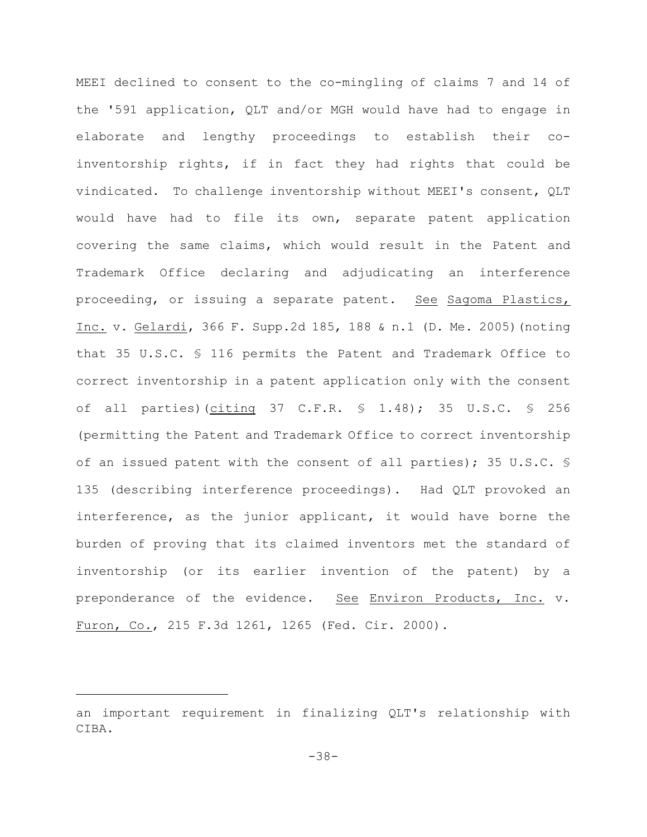MEEI declined to consent to the co-mingling of claims 7 and 14 of the '591 application, QLT and/or MGH would have had to engage in elaborate and lengthy proceedings to establish their coinventorship rights, if in fact they had rights that could be vindicated. To challenge inventorship without MEEI's consent, QLT would have had to file its own, separate patent application covering the same claims, which would result in the Patent and Trademark Office declaring and adjudicating an interference proceeding, or issuing a separate patent. See Sagoma Plastics, Inc. v. Gelardi, 366 F. Supp.2d 185, 188 & n.1 (D. Me. 2005)(noting that 35 U.S.C. § 116 permits the Patent and Trademark Office to correct inventorship in a patent application only with the consent of all parties)(citing 37 C.F.R. § 1.48); 35 U.S.C. § 256 (permitting the Patent and Trademark Office to correct inventorship of an issued patent with the consent of all parties); 35 U.S.C. § 135 (describing interference proceedings). Had QLT provoked an interference, as the junior applicant, it would have borne the burden of proving that its claimed inventors met the standard of inventorship (or its earlier invention of the patent) by a preponderance of the evidence. See Environ Products, Inc. v. Furon, Co., 215 F.3d 1261, 1265 (Fed. Cir. 2000).

an important requirement in finalizing QLT's relationship with CIBA.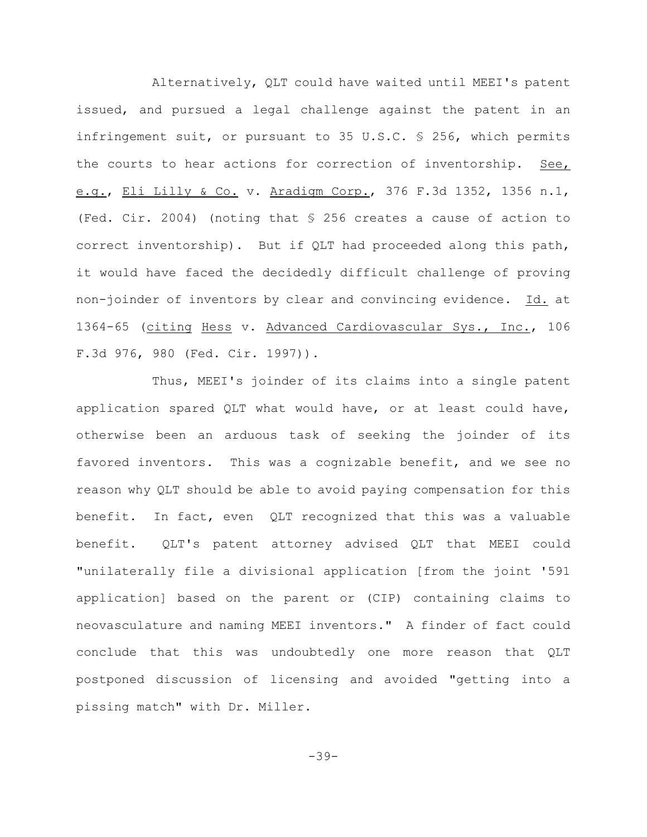Alternatively, QLT could have waited until MEEI's patent issued, and pursued a legal challenge against the patent in an infringement suit, or pursuant to 35 U.S.C. § 256, which permits the courts to hear actions for correction of inventorship. See, e.g., Eli Lilly & Co. v. Aradigm Corp., 376 F.3d 1352, 1356 n.1, (Fed. Cir. 2004) (noting that § 256 creates a cause of action to correct inventorship). But if QLT had proceeded along this path, it would have faced the decidedly difficult challenge of proving non-joinder of inventors by clear and convincing evidence. Id. at 1364-65 (citing Hess v. Advanced Cardiovascular Sys., Inc., 106 F.3d 976, 980 (Fed. Cir. 1997)).

Thus, MEEI's joinder of its claims into a single patent application spared QLT what would have, or at least could have, otherwise been an arduous task of seeking the joinder of its favored inventors. This was a cognizable benefit, and we see no reason why QLT should be able to avoid paying compensation for this benefit. In fact, even QLT recognized that this was a valuable benefit. QLT's patent attorney advised QLT that MEEI could "unilaterally file a divisional application [from the joint '591 application] based on the parent or (CIP) containing claims to neovasculature and naming MEEI inventors." A finder of fact could conclude that this was undoubtedly one more reason that QLT postponed discussion of licensing and avoided "getting into a pissing match" with Dr. Miller.

-39-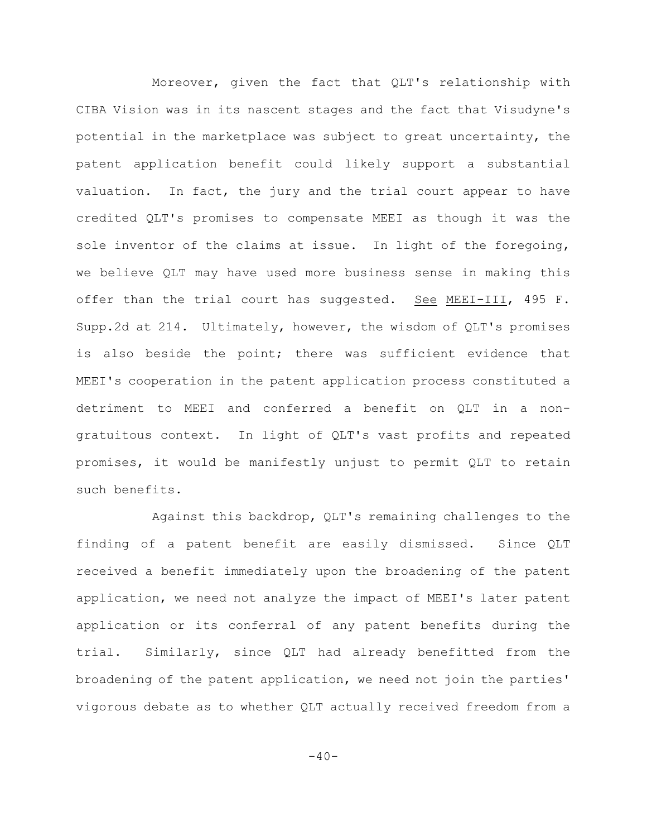Moreover, given the fact that QLT's relationship with CIBA Vision was in its nascent stages and the fact that Visudyne's potential in the marketplace was subject to great uncertainty, the patent application benefit could likely support a substantial valuation. In fact, the jury and the trial court appear to have credited QLT's promises to compensate MEEI as though it was the sole inventor of the claims at issue. In light of the foregoing, we believe QLT may have used more business sense in making this offer than the trial court has suggested. See MEEI-III, 495 F. Supp.2d at 214. Ultimately, however, the wisdom of QLT's promises is also beside the point; there was sufficient evidence that MEEI's cooperation in the patent application process constituted a detriment to MEEI and conferred a benefit on QLT in a nongratuitous context. In light of QLT's vast profits and repeated promises, it would be manifestly unjust to permit QLT to retain such benefits.

Against this backdrop, QLT's remaining challenges to the finding of a patent benefit are easily dismissed. Since QLT received a benefit immediately upon the broadening of the patent application, we need not analyze the impact of MEEI's later patent application or its conferral of any patent benefits during the trial. Similarly, since QLT had already benefitted from the broadening of the patent application, we need not join the parties' vigorous debate as to whether QLT actually received freedom from a

 $-40-$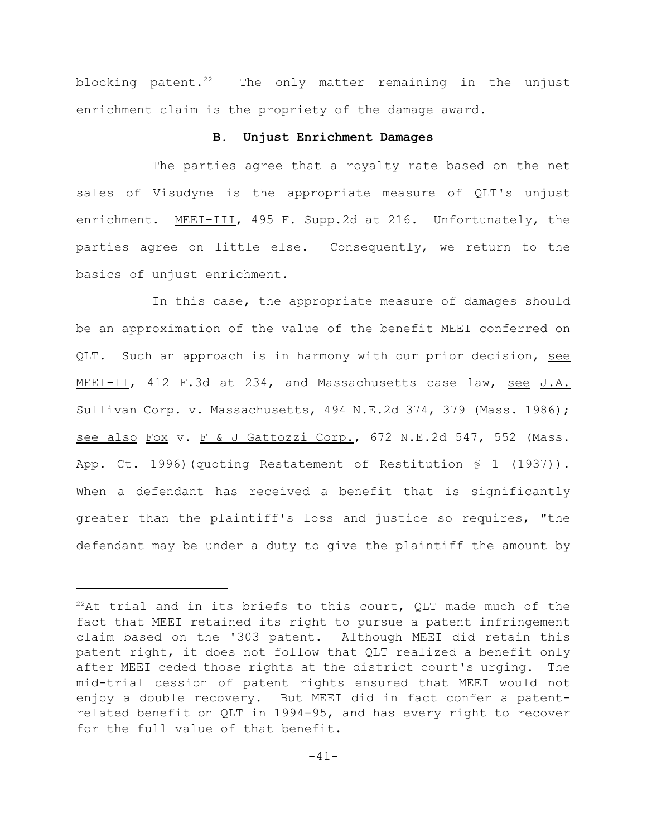blocking patent. $22$  The only matter remaining in the unjust enrichment claim is the propriety of the damage award.

#### **B. Unjust Enrichment Damages**

The parties agree that a royalty rate based on the net sales of Visudyne is the appropriate measure of QLT's unjust enrichment. MEEI-III, 495 F. Supp.2d at 216. Unfortunately, the parties agree on little else. Consequently, we return to the basics of unjust enrichment.

In this case, the appropriate measure of damages should be an approximation of the value of the benefit MEEI conferred on QLT. Such an approach is in harmony with our prior decision, see MEEI-II, 412 F.3d at 234, and Massachusetts case law, see J.A. Sullivan Corp. v. Massachusetts, 494 N.E.2d 374, 379 (Mass. 1986); see also Fox v. F & J Gattozzi Corp., 672 N.E.2d 547, 552 (Mass. App. Ct. 1996)(quoting Restatement of Restitution § 1 (1937)). When a defendant has received a benefit that is significantly greater than the plaintiff's loss and justice so requires, "the defendant may be under a duty to give the plaintiff the amount by

 $^{22}$ At trial and in its briefs to this court, QLT made much of the fact that MEEI retained its right to pursue a patent infringement claim based on the '303 patent. Although MEEI did retain this patent right, it does not follow that QLT realized a benefit only after MEEI ceded those rights at the district court's urging. The mid-trial cession of patent rights ensured that MEEI would not enjoy a double recovery. But MEEI did in fact confer a patentrelated benefit on QLT in 1994-95, and has every right to recover for the full value of that benefit.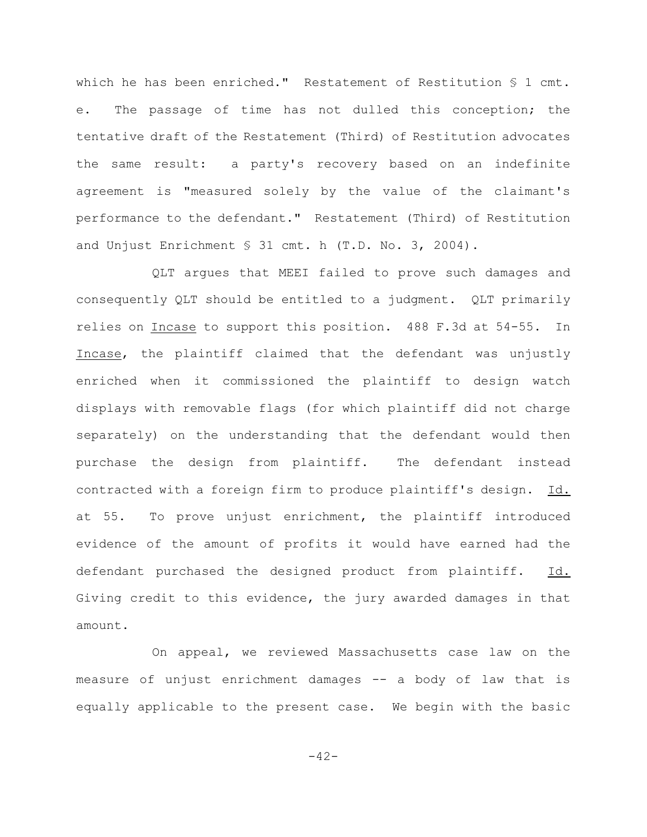which he has been enriched." Restatement of Restitution § 1 cmt. e. The passage of time has not dulled this conception; the tentative draft of the Restatement (Third) of Restitution advocates the same result: a party's recovery based on an indefinite agreement is "measured solely by the value of the claimant's performance to the defendant." Restatement (Third) of Restitution and Unjust Enrichment § 31 cmt. h (T.D. No. 3, 2004).

QLT argues that MEEI failed to prove such damages and consequently QLT should be entitled to a judgment. QLT primarily relies on Incase to support this position. 488 F.3d at 54-55. In Incase, the plaintiff claimed that the defendant was unjustly enriched when it commissioned the plaintiff to design watch displays with removable flags (for which plaintiff did not charge separately) on the understanding that the defendant would then purchase the design from plaintiff. The defendant instead contracted with a foreign firm to produce plaintiff's design. Id. at 55. To prove unjust enrichment, the plaintiff introduced evidence of the amount of profits it would have earned had the defendant purchased the designed product from plaintiff. Id. Giving credit to this evidence, the jury awarded damages in that amount.

On appeal, we reviewed Massachusetts case law on the measure of unjust enrichment damages -- a body of law that is equally applicable to the present case. We begin with the basic

 $-42-$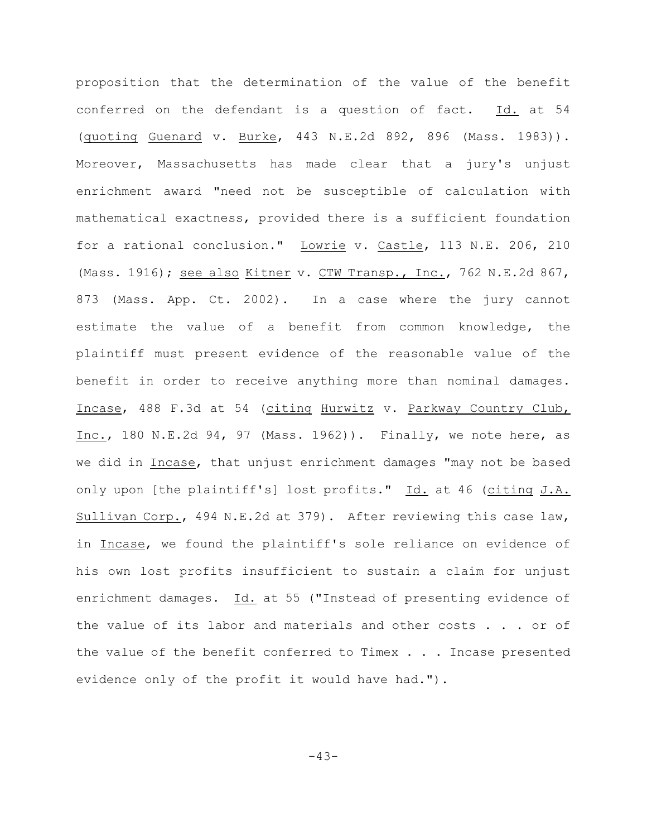proposition that the determination of the value of the benefit conferred on the defendant is a question of fact. Id. at 54 (quoting Guenard v. Burke, 443 N.E.2d 892, 896 (Mass. 1983)). Moreover, Massachusetts has made clear that a jury's unjust enrichment award "need not be susceptible of calculation with mathematical exactness, provided there is a sufficient foundation for a rational conclusion." Lowrie v. Castle, 113 N.E. 206, 210 (Mass. 1916); see also Kitner v. CTW Transp., Inc., 762 N.E.2d 867, 873 (Mass. App. Ct. 2002). In a case where the jury cannot estimate the value of a benefit from common knowledge, the plaintiff must present evidence of the reasonable value of the benefit in order to receive anything more than nominal damages. Incase, 488 F.3d at 54 (citing Hurwitz v. Parkway Country Club, Inc., 180 N.E.2d 94, 97 (Mass. 1962)). Finally, we note here, as we did in Incase, that unjust enrichment damages "may not be based only upon [the plaintiff's] lost profits." Id. at 46 (citing J.A. Sullivan Corp., 494 N.E.2d at 379). After reviewing this case law, in Incase, we found the plaintiff's sole reliance on evidence of his own lost profits insufficient to sustain a claim for unjust enrichment damages. Id. at 55 ("Instead of presenting evidence of the value of its labor and materials and other costs . . . or of the value of the benefit conferred to Timex . . . Incase presented evidence only of the profit it would have had.").

-43-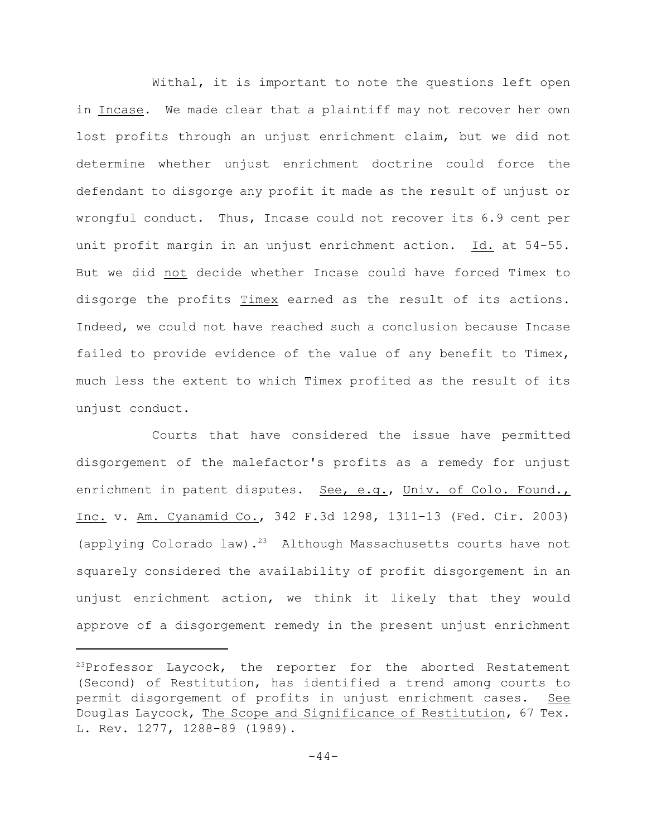Withal, it is important to note the questions left open in Incase. We made clear that a plaintiff may not recover her own lost profits through an unjust enrichment claim, but we did not determine whether unjust enrichment doctrine could force the defendant to disgorge any profit it made as the result of unjust or wrongful conduct. Thus, Incase could not recover its 6.9 cent per unit profit margin in an unjust enrichment action. Id. at 54-55. But we did not decide whether Incase could have forced Timex to disgorge the profits Timex earned as the result of its actions. Indeed, we could not have reached such a conclusion because Incase failed to provide evidence of the value of any benefit to Timex, much less the extent to which Timex profited as the result of its unjust conduct.

Courts that have considered the issue have permitted disgorgement of the malefactor's profits as a remedy for unjust enrichment in patent disputes. See, e.g., Univ. of Colo. Found., Inc. v. Am. Cyanamid Co., 342 F.3d 1298, 1311-13 (Fed. Cir. 2003) (applying Colorado law).<sup>23</sup> Although Massachusetts courts have not squarely considered the availability of profit disgorgement in an unjust enrichment action, we think it likely that they would approve of a disgorgement remedy in the present unjust enrichment

 $23$ Professor Laycock, the reporter for the aborted Restatement (Second) of Restitution, has identified a trend among courts to permit disgorgement of profits in unjust enrichment cases. See Douglas Laycock, The Scope and Significance of Restitution, 67 Tex. L. Rev. 1277, 1288-89 (1989).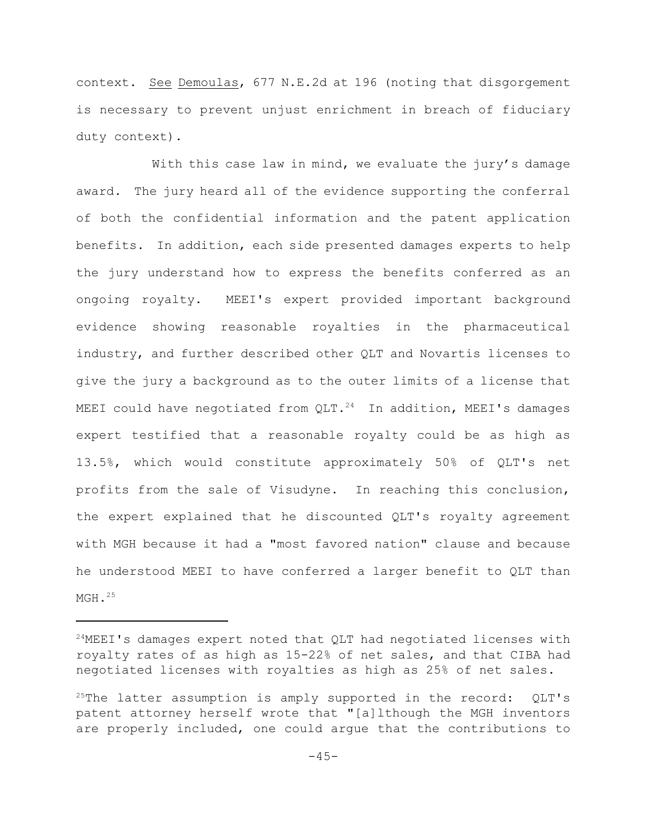context. See Demoulas, 677 N.E.2d at 196 (noting that disgorgement is necessary to prevent unjust enrichment in breach of fiduciary duty context).

With this case law in mind, we evaluate the jury's damage award. The jury heard all of the evidence supporting the conferral of both the confidential information and the patent application benefits. In addition, each side presented damages experts to help the jury understand how to express the benefits conferred as an ongoing royalty. MEEI's expert provided important background evidence showing reasonable royalties in the pharmaceutical industry, and further described other QLT and Novartis licenses to give the jury a background as to the outer limits of a license that MEEI could have negotiated from  $QLT.^{24}$  In addition, MEEI's damages expert testified that a reasonable royalty could be as high as 13.5%, which would constitute approximately 50% of QLT's net profits from the sale of Visudyne. In reaching this conclusion, the expert explained that he discounted QLT's royalty agreement with MGH because it had a "most favored nation" clause and because he understood MEEI to have conferred a larger benefit to QLT than  $MGH.25$ 

 $24$ MEEI's damages expert noted that QLT had negotiated licenses with royalty rates of as high as 15-22% of net sales, and that CIBA had negotiated licenses with royalties as high as 25% of net sales.

<sup>&</sup>lt;sup>25</sup>The latter assumption is amply supported in the record:  $QLT's$ patent attorney herself wrote that "[a]lthough the MGH inventors are properly included, one could argue that the contributions to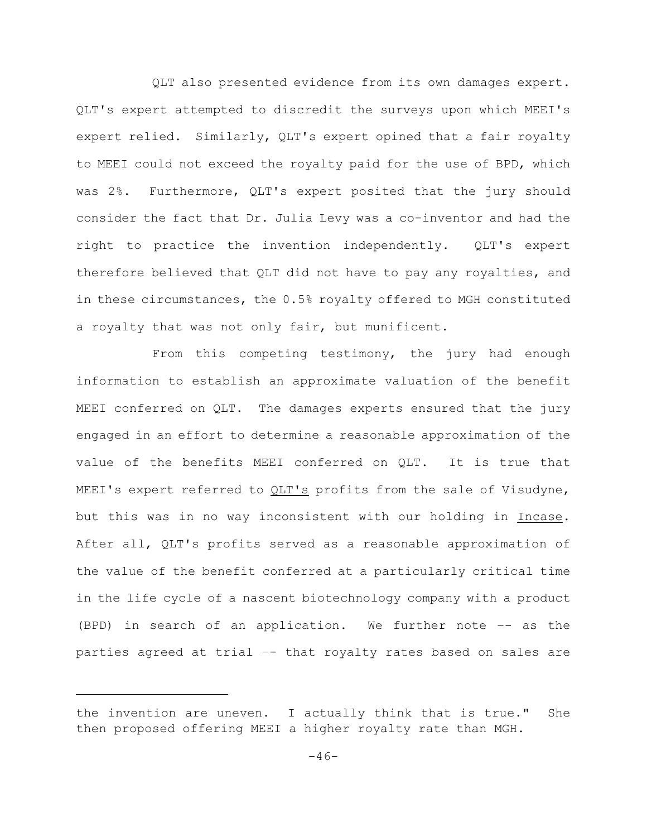QLT also presented evidence from its own damages expert. QLT's expert attempted to discredit the surveys upon which MEEI's expert relied. Similarly, QLT's expert opined that a fair royalty to MEEI could not exceed the royalty paid for the use of BPD, which was 2%. Furthermore, QLT's expert posited that the jury should consider the fact that Dr. Julia Levy was a co-inventor and had the right to practice the invention independently. QLT's expert therefore believed that QLT did not have to pay any royalties, and in these circumstances, the 0.5% royalty offered to MGH constituted a royalty that was not only fair, but munificent.

From this competing testimony, the jury had enough information to establish an approximate valuation of the benefit MEEI conferred on QLT. The damages experts ensured that the jury engaged in an effort to determine a reasonable approximation of the value of the benefits MEEI conferred on QLT. It is true that MEEI's expert referred to QLT's profits from the sale of Visudyne, but this was in no way inconsistent with our holding in Incase. After all, QLT's profits served as a reasonable approximation of the value of the benefit conferred at a particularly critical time in the life cycle of a nascent biotechnology company with a product (BPD) in search of an application. We further note –- as the parties agreed at trial –- that royalty rates based on sales are

the invention are uneven. I actually think that is true." She then proposed offering MEEI a higher royalty rate than MGH.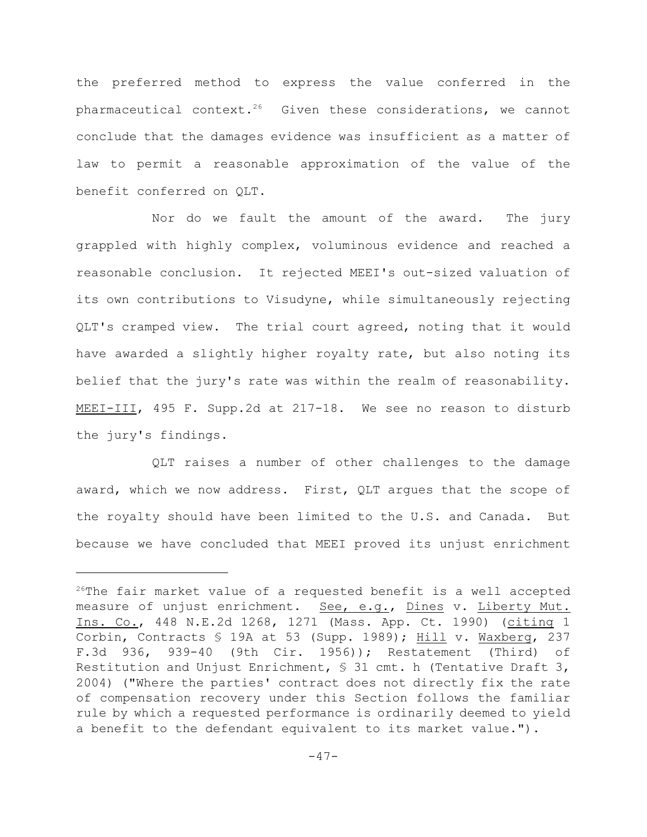the preferred method to express the value conferred in the pharmaceutical context.<sup>26</sup> Given these considerations, we cannot conclude that the damages evidence was insufficient as a matter of law to permit a reasonable approximation of the value of the benefit conferred on QLT.

Nor do we fault the amount of the award. The jury grappled with highly complex, voluminous evidence and reached a reasonable conclusion. It rejected MEEI's out-sized valuation of its own contributions to Visudyne, while simultaneously rejecting QLT's cramped view. The trial court agreed, noting that it would have awarded a slightly higher royalty rate, but also noting its belief that the jury's rate was within the realm of reasonability. MEEI-III, 495 F. Supp.2d at 217-18. We see no reason to disturb the jury's findings.

QLT raises a number of other challenges to the damage award, which we now address. First, QLT argues that the scope of the royalty should have been limited to the U.S. and Canada. But because we have concluded that MEEI proved its unjust enrichment

 $26$ The fair market value of a requested benefit is a well accepted measure of unjust enrichment. See, e.g., Dines v. Liberty Mut. Ins. Co., 448 N.E.2d 1268, 1271 (Mass. App. Ct. 1990) (citing 1 Corbin, Contracts  $$19A$  at 53 (Supp. 1989); Hill v. Waxberg, 237 F.3d 936, 939-40 (9th Cir. 1956)); Restatement (Third) of Restitution and Unjust Enrichment, § 31 cmt. h (Tentative Draft 3, 2004) ("Where the parties' contract does not directly fix the rate of compensation recovery under this Section follows the familiar rule by which a requested performance is ordinarily deemed to yield a benefit to the defendant equivalent to its market value.").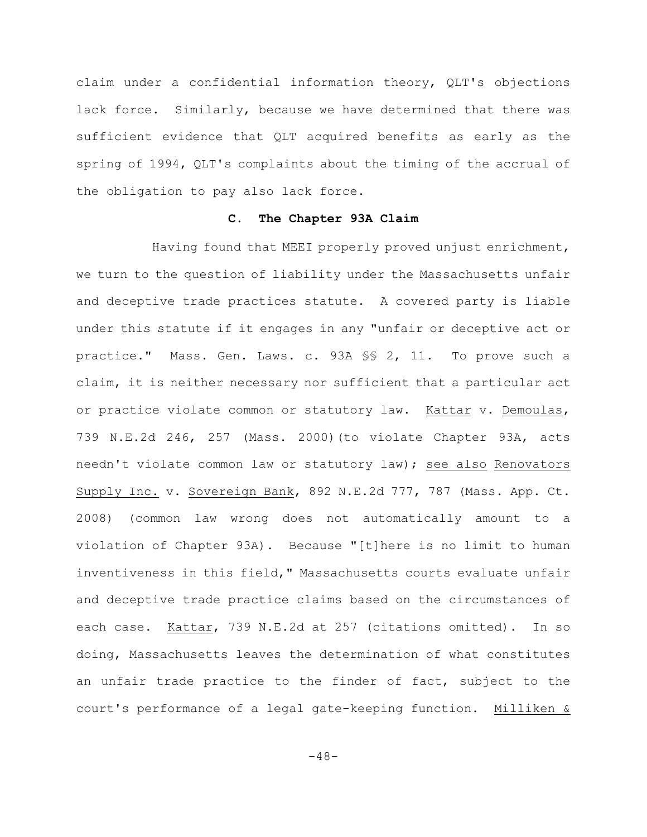claim under a confidential information theory, QLT's objections lack force. Similarly, because we have determined that there was sufficient evidence that QLT acquired benefits as early as the spring of 1994, QLT's complaints about the timing of the accrual of the obligation to pay also lack force.

#### **C. The Chapter 93A Claim**

Having found that MEEI properly proved unjust enrichment, we turn to the question of liability under the Massachusetts unfair and deceptive trade practices statute. A covered party is liable under this statute if it engages in any "unfair or deceptive act or practice." Mass. Gen. Laws. c. 93A §§ 2, 11. To prove such a claim, it is neither necessary nor sufficient that a particular act or practice violate common or statutory law. Kattar v. Demoulas, 739 N.E.2d 246, 257 (Mass. 2000)(to violate Chapter 93A, acts needn't violate common law or statutory law); see also Renovators Supply Inc. v. Sovereign Bank, 892 N.E.2d 777, 787 (Mass. App. Ct. 2008) (common law wrong does not automatically amount to a violation of Chapter 93A). Because "[t]here is no limit to human inventiveness in this field," Massachusetts courts evaluate unfair and deceptive trade practice claims based on the circumstances of each case. Kattar, 739 N.E.2d at 257 (citations omitted). In so doing, Massachusetts leaves the determination of what constitutes an unfair trade practice to the finder of fact, subject to the court's performance of a legal gate-keeping function. Milliken &

 $-48-$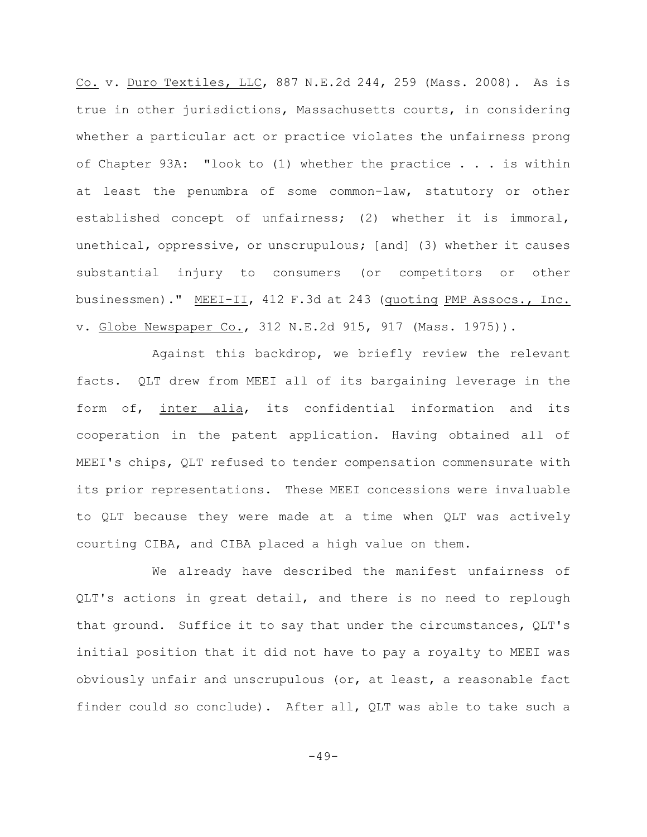Co. v. Duro Textiles, LLC, 887 N.E.2d 244, 259 (Mass. 2008). As is true in other jurisdictions, Massachusetts courts, in considering whether a particular act or practice violates the unfairness prong of Chapter 93A: "look to (1) whether the practice . . . is within at least the penumbra of some common-law, statutory or other established concept of unfairness; (2) whether it is immoral, unethical, oppressive, or unscrupulous; [and] (3) whether it causes substantial injury to consumers (or competitors or other businessmen)." MEEI-II, 412 F.3d at 243 (quoting PMP Assocs., Inc. v. Globe Newspaper Co., 312 N.E.2d 915, 917 (Mass. 1975)).

Against this backdrop, we briefly review the relevant facts. QLT drew from MEEI all of its bargaining leverage in the form of, inter alia, its confidential information and its cooperation in the patent application. Having obtained all of MEEI's chips, QLT refused to tender compensation commensurate with its prior representations. These MEEI concessions were invaluable to QLT because they were made at a time when QLT was actively courting CIBA, and CIBA placed a high value on them.

We already have described the manifest unfairness of QLT's actions in great detail, and there is no need to replough that ground. Suffice it to say that under the circumstances, QLT's initial position that it did not have to pay a royalty to MEEI was obviously unfair and unscrupulous (or, at least, a reasonable fact finder could so conclude). After all, QLT was able to take such a

 $-49-$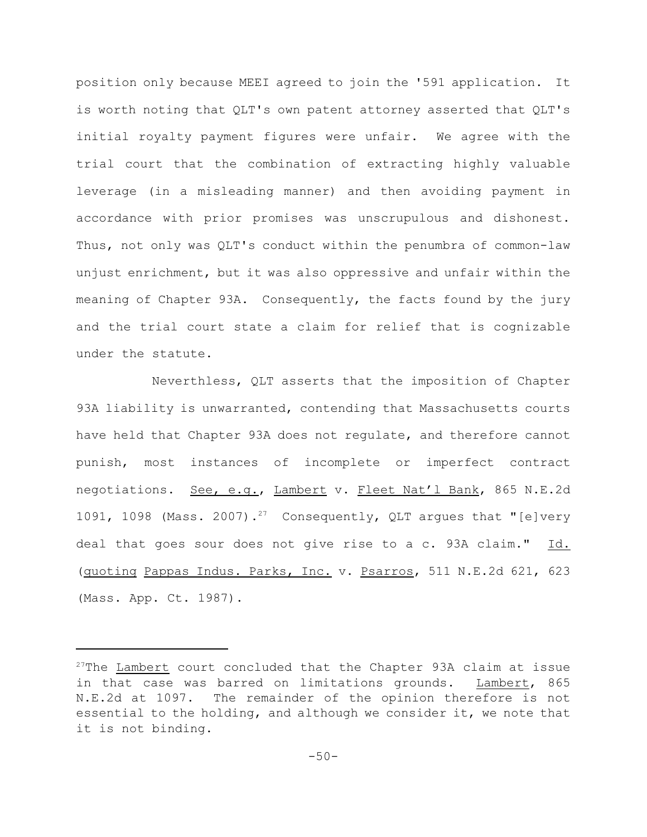position only because MEEI agreed to join the '591 application. It is worth noting that QLT's own patent attorney asserted that QLT's initial royalty payment figures were unfair. We agree with the trial court that the combination of extracting highly valuable leverage (in a misleading manner) and then avoiding payment in accordance with prior promises was unscrupulous and dishonest. Thus, not only was QLT's conduct within the penumbra of common-law unjust enrichment, but it was also oppressive and unfair within the meaning of Chapter 93A. Consequently, the facts found by the jury and the trial court state a claim for relief that is cognizable under the statute.

Neverthless, QLT asserts that the imposition of Chapter 93A liability is unwarranted, contending that Massachusetts courts have held that Chapter 93A does not regulate, and therefore cannot punish, most instances of incomplete or imperfect contract negotiations. See, e.g., Lambert v. Fleet Nat'l Bank, 865 N.E.2d 1091, 1098 (Mass. 2007).<sup>27</sup> Consequently, QLT argues that "[e]very deal that goes sour does not give rise to a c. 93A claim." Id. (quoting Pappas Indus. Parks, Inc. v. Psarros, 511 N.E.2d 621, 623 (Mass. App. Ct. 1987).

 $27$ The Lambert court concluded that the Chapter 93A claim at issue in that case was barred on limitations grounds. Lambert, 865 N.E.2d at 1097. The remainder of the opinion therefore is not essential to the holding, and although we consider it, we note that it is not binding.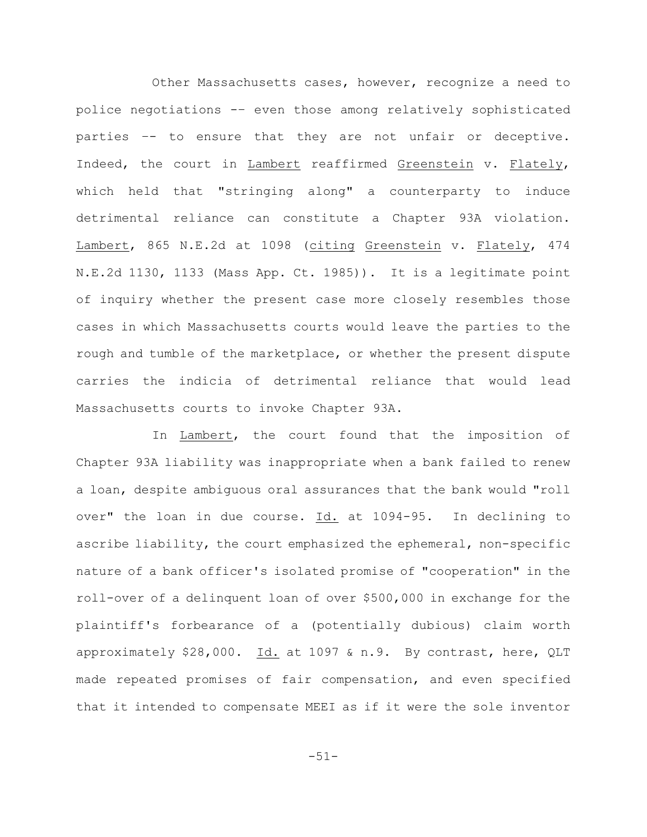Other Massachusetts cases, however, recognize a need to police negotiations -– even those among relatively sophisticated parties –- to ensure that they are not unfair or deceptive. Indeed, the court in Lambert reaffirmed Greenstein v. Flately, which held that "stringing along" a counterparty to induce detrimental reliance can constitute a Chapter 93A violation. Lambert, 865 N.E.2d at 1098 (citing Greenstein v. Flately, 474 N.E.2d 1130, 1133 (Mass App. Ct. 1985)). It is a legitimate point of inquiry whether the present case more closely resembles those cases in which Massachusetts courts would leave the parties to the rough and tumble of the marketplace, or whether the present dispute carries the indicia of detrimental reliance that would lead Massachusetts courts to invoke Chapter 93A.

In Lambert, the court found that the imposition of Chapter 93A liability was inappropriate when a bank failed to renew a loan, despite ambiguous oral assurances that the bank would "roll over" the loan in due course. Id. at 1094-95. In declining to ascribe liability, the court emphasized the ephemeral, non-specific nature of a bank officer's isolated promise of "cooperation" in the roll-over of a delinquent loan of over \$500,000 in exchange for the plaintiff's forbearance of a (potentially dubious) claim worth approximately \$28,000. Id. at 1097 & n.9. By contrast, here, QLT made repeated promises of fair compensation, and even specified that it intended to compensate MEEI as if it were the sole inventor

-51-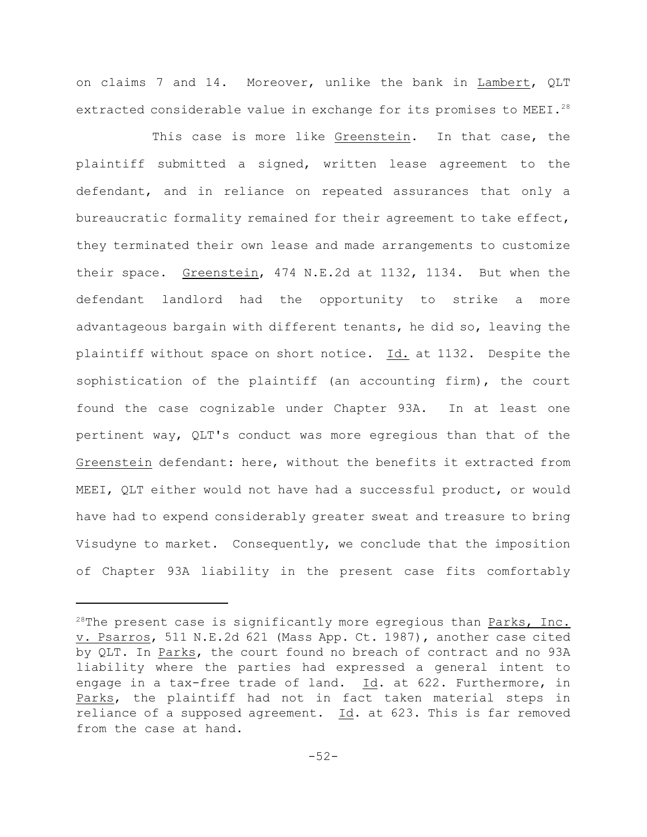on claims 7 and 14. Moreover, unlike the bank in Lambert, QLT extracted considerable value in exchange for its promises to MEEI.<sup>28</sup>

This case is more like Greenstein. In that case, the plaintiff submitted a signed, written lease agreement to the defendant, and in reliance on repeated assurances that only a bureaucratic formality remained for their agreement to take effect, they terminated their own lease and made arrangements to customize their space. Greenstein, 474 N.E.2d at 1132, 1134. But when the defendant landlord had the opportunity to strike a more advantageous bargain with different tenants, he did so, leaving the plaintiff without space on short notice. Id. at 1132. Despite the sophistication of the plaintiff (an accounting firm), the court found the case cognizable under Chapter 93A. In at least one pertinent way, QLT's conduct was more egregious than that of the Greenstein defendant: here, without the benefits it extracted from MEEI, QLT either would not have had a successful product, or would have had to expend considerably greater sweat and treasure to bring Visudyne to market. Consequently, we conclude that the imposition of Chapter 93A liability in the present case fits comfortably

<sup>&</sup>lt;sup>28</sup>The present case is significantly more egregious than Parks, Inc. v. Psarros, 511 N.E.2d 621 (Mass App. Ct. 1987), another case cited by QLT. In Parks, the court found no breach of contract and no 93A liability where the parties had expressed a general intent to engage in a tax-free trade of land. Id. at 622. Furthermore, in Parks, the plaintiff had not in fact taken material steps in reliance of a supposed agreement.  $\underline{Id}$ . at 623. This is far removed from the case at hand.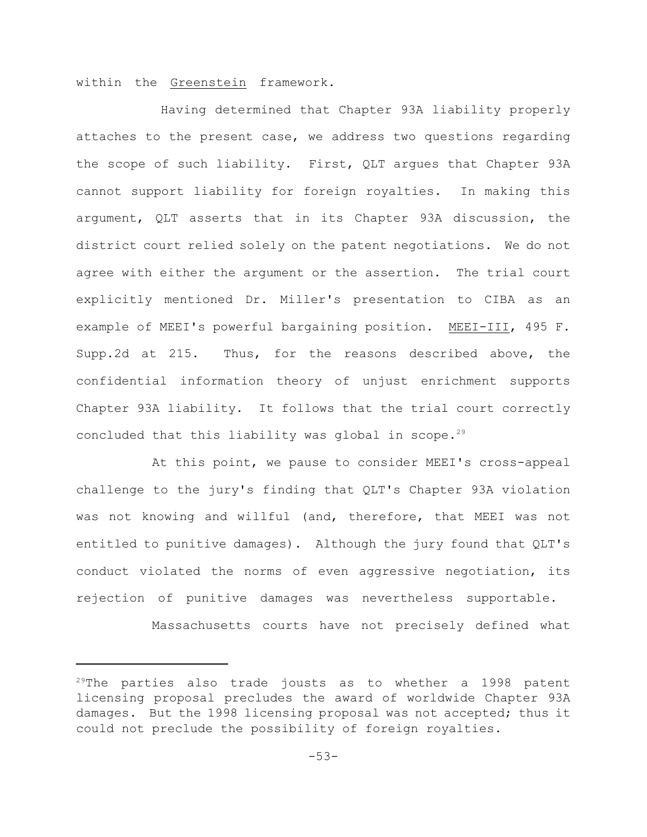within the Greenstein framework.

 Having determined that Chapter 93A liability properly attaches to the present case, we address two questions regarding the scope of such liability. First, QLT argues that Chapter 93A cannot support liability for foreign royalties. In making this argument, QLT asserts that in its Chapter 93A discussion, the district court relied solely on the patent negotiations. We do not agree with either the argument or the assertion. The trial court explicitly mentioned Dr. Miller's presentation to CIBA as an example of MEEI's powerful bargaining position. MEEI-III, 495 F. Supp.2d at 215. Thus, for the reasons described above, the confidential information theory of unjust enrichment supports Chapter 93A liability. It follows that the trial court correctly concluded that this liability was global in scope.<sup>29</sup>

At this point, we pause to consider MEEI's cross-appeal challenge to the jury's finding that QLT's Chapter 93A violation was not knowing and willful (and, therefore, that MEEI was not entitled to punitive damages). Although the jury found that QLT's conduct violated the norms of even aggressive negotiation, its rejection of punitive damages was nevertheless supportable.

Massachusetts courts have not precisely defined what

 $29$ The parties also trade jousts as to whether a 1998 patent licensing proposal precludes the award of worldwide Chapter 93A damages. But the 1998 licensing proposal was not accepted; thus it could not preclude the possibility of foreign royalties.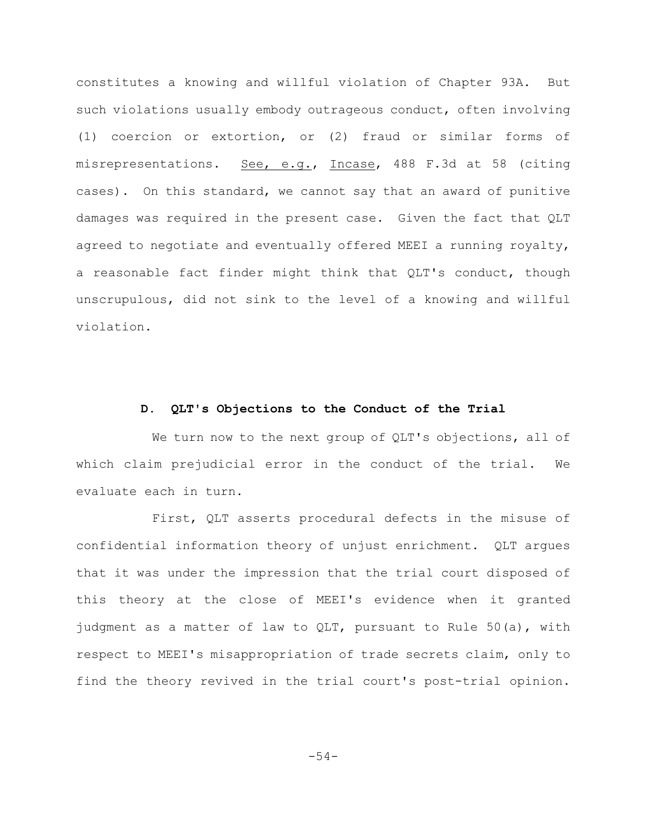constitutes a knowing and willful violation of Chapter 93A. But such violations usually embody outrageous conduct, often involving (1) coercion or extortion, or (2) fraud or similar forms of misrepresentations. See, e.g., Incase, 488 F.3d at 58 (citing cases). On this standard, we cannot say that an award of punitive damages was required in the present case. Given the fact that QLT agreed to negotiate and eventually offered MEEI a running royalty, a reasonable fact finder might think that QLT's conduct, though unscrupulous, did not sink to the level of a knowing and willful violation.

# **D. QLT's Objections to the Conduct of the Trial**

We turn now to the next group of QLT's objections, all of which claim prejudicial error in the conduct of the trial. We evaluate each in turn.

First, QLT asserts procedural defects in the misuse of confidential information theory of unjust enrichment. QLT argues that it was under the impression that the trial court disposed of this theory at the close of MEEI's evidence when it granted judgment as a matter of law to QLT, pursuant to Rule 50(a), with respect to MEEI's misappropriation of trade secrets claim, only to find the theory revived in the trial court's post-trial opinion.

-54-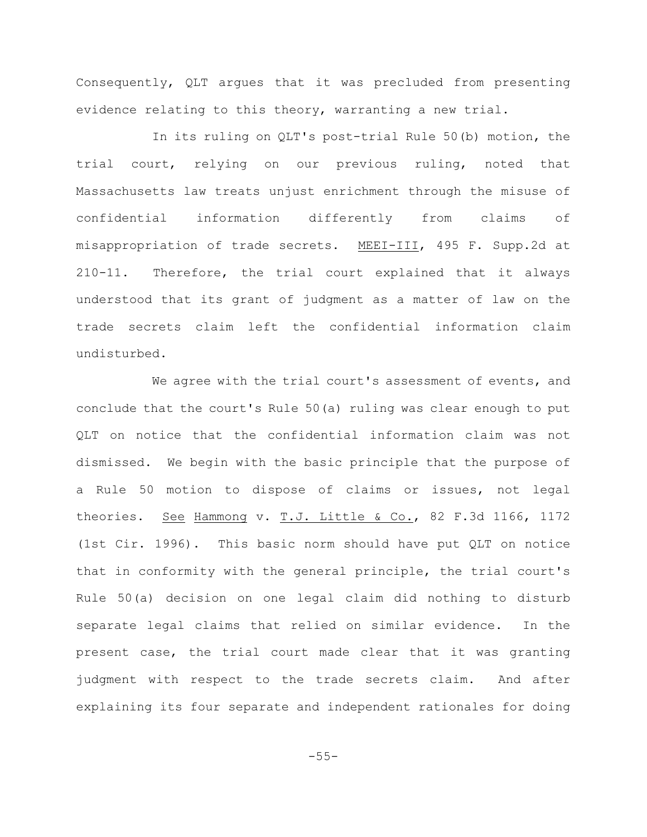Consequently, QLT argues that it was precluded from presenting evidence relating to this theory, warranting a new trial.

In its ruling on QLT's post-trial Rule 50(b) motion, the trial court, relying on our previous ruling, noted that Massachusetts law treats unjust enrichment through the misuse of confidential information differently from claims of misappropriation of trade secrets. MEEI-III, 495 F. Supp.2d at 210-11. Therefore, the trial court explained that it always understood that its grant of judgment as a matter of law on the trade secrets claim left the confidential information claim undisturbed.

We agree with the trial court's assessment of events, and conclude that the court's Rule 50(a) ruling was clear enough to put QLT on notice that the confidential information claim was not dismissed. We begin with the basic principle that the purpose of a Rule 50 motion to dispose of claims or issues, not legal theories. See Hammong v. T.J. Little & Co., 82 F.3d 1166, 1172 (1st Cir. 1996). This basic norm should have put QLT on notice that in conformity with the general principle, the trial court's Rule 50(a) decision on one legal claim did nothing to disturb separate legal claims that relied on similar evidence. In the present case, the trial court made clear that it was granting judgment with respect to the trade secrets claim. And after explaining its four separate and independent rationales for doing

-55-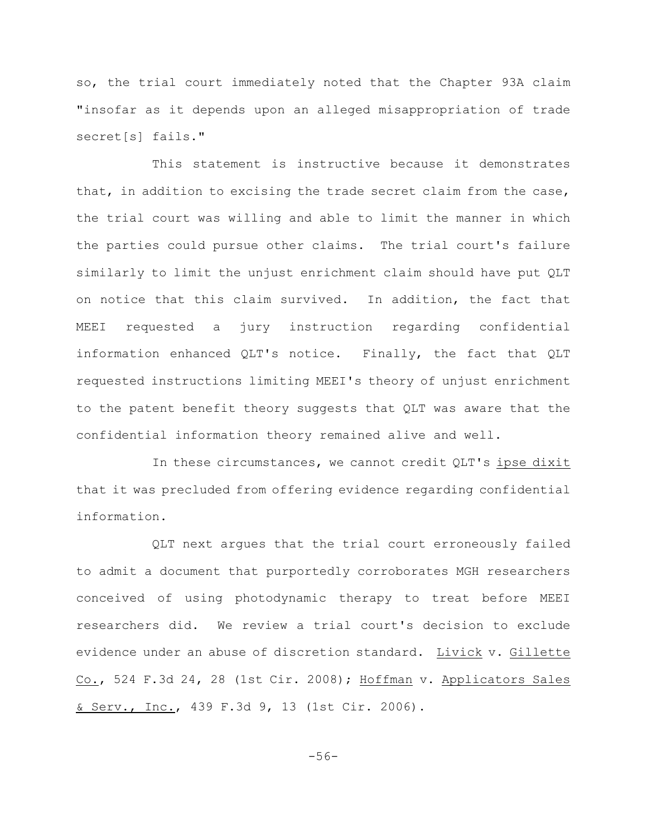so, the trial court immediately noted that the Chapter 93A claim "insofar as it depends upon an alleged misappropriation of trade secret[s] fails."

This statement is instructive because it demonstrates that, in addition to excising the trade secret claim from the case, the trial court was willing and able to limit the manner in which the parties could pursue other claims. The trial court's failure similarly to limit the unjust enrichment claim should have put QLT on notice that this claim survived. In addition, the fact that MEEI requested a jury instruction regarding confidential information enhanced QLT's notice. Finally, the fact that QLT requested instructions limiting MEEI's theory of unjust enrichment to the patent benefit theory suggests that QLT was aware that the confidential information theory remained alive and well.

In these circumstances, we cannot credit QLT's ipse dixit that it was precluded from offering evidence regarding confidential information.

QLT next argues that the trial court erroneously failed to admit a document that purportedly corroborates MGH researchers conceived of using photodynamic therapy to treat before MEEI researchers did. We review a trial court's decision to exclude evidence under an abuse of discretion standard. Livick v. Gillette Co., 524 F.3d 24, 28 (1st Cir. 2008); Hoffman v. Applicators Sales & Serv., Inc., 439 F.3d 9, 13 (1st Cir. 2006).

-56-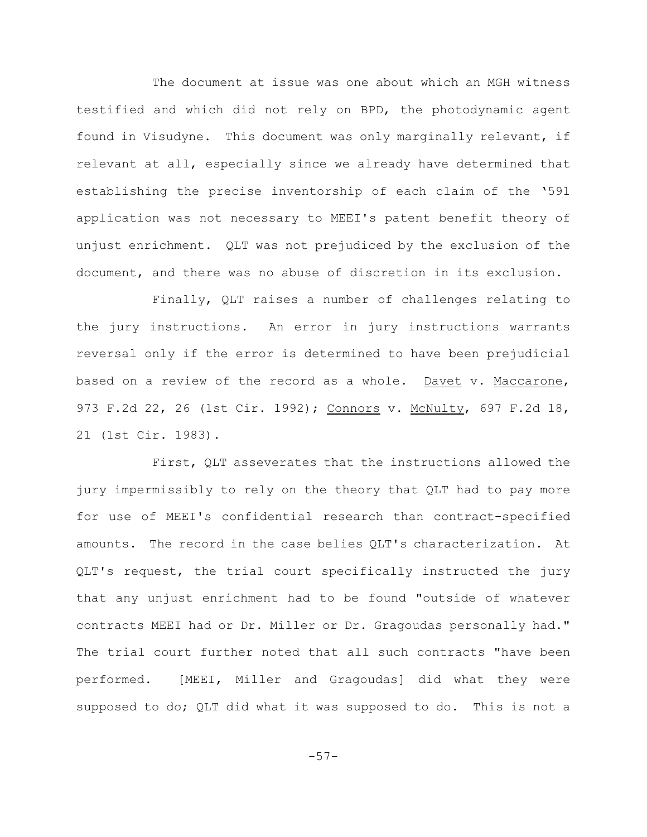The document at issue was one about which an MGH witness testified and which did not rely on BPD, the photodynamic agent found in Visudyne. This document was only marginally relevant, if relevant at all, especially since we already have determined that establishing the precise inventorship of each claim of the '591 application was not necessary to MEEI's patent benefit theory of unjust enrichment. QLT was not prejudiced by the exclusion of the document, and there was no abuse of discretion in its exclusion.

Finally, QLT raises a number of challenges relating to the jury instructions. An error in jury instructions warrants reversal only if the error is determined to have been prejudicial based on a review of the record as a whole. Davet v. Maccarone, 973 F.2d 22, 26 (1st Cir. 1992); Connors v. McNulty, 697 F.2d 18, 21 (1st Cir. 1983).

First, QLT asseverates that the instructions allowed the jury impermissibly to rely on the theory that QLT had to pay more for use of MEEI's confidential research than contract-specified amounts. The record in the case belies QLT's characterization. At QLT's request, the trial court specifically instructed the jury that any unjust enrichment had to be found "outside of whatever contracts MEEI had or Dr. Miller or Dr. Gragoudas personally had." The trial court further noted that all such contracts "have been performed. [MEEI, Miller and Gragoudas] did what they were supposed to do; QLT did what it was supposed to do. This is not a

-57-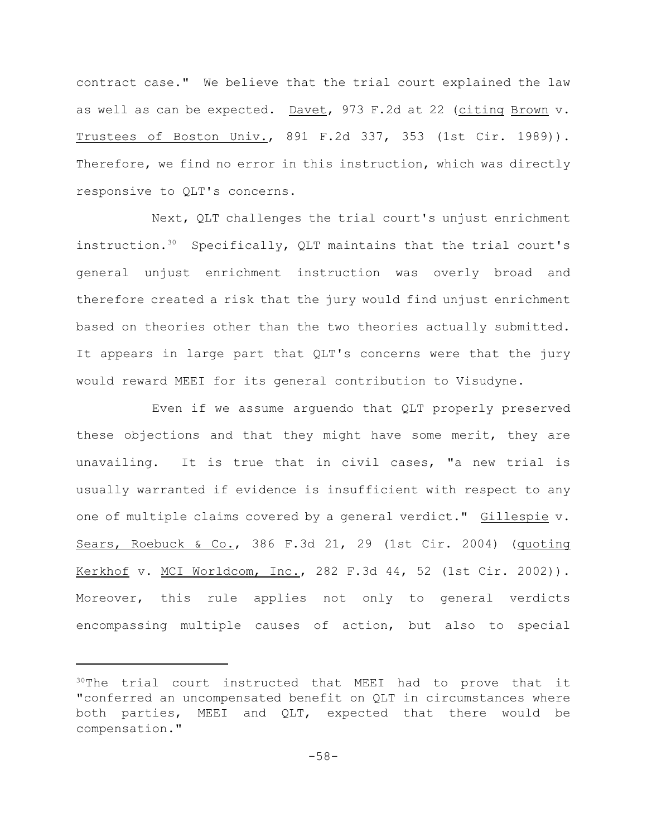contract case." We believe that the trial court explained the law as well as can be expected. Davet, 973 F.2d at 22 (citing Brown v. Trustees of Boston Univ., 891 F.2d 337, 353 (1st Cir. 1989)). Therefore, we find no error in this instruction, which was directly responsive to QLT's concerns.

Next, QLT challenges the trial court's unjust enrichment instruction.<sup>30</sup> Specifically, QLT maintains that the trial court's general unjust enrichment instruction was overly broad and therefore created a risk that the jury would find unjust enrichment based on theories other than the two theories actually submitted. It appears in large part that QLT's concerns were that the jury would reward MEEI for its general contribution to Visudyne.

Even if we assume arguendo that QLT properly preserved these objections and that they might have some merit, they are unavailing. It is true that in civil cases, "a new trial is usually warranted if evidence is insufficient with respect to any one of multiple claims covered by a general verdict." Gillespie v. Sears, Roebuck & Co., 386 F.3d 21, 29 (1st Cir. 2004) (quoting Kerkhof v. MCI Worldcom, Inc., 282 F.3d 44, 52 (1st Cir. 2002)). Moreover, this rule applies not only to general verdicts encompassing multiple causes of action, but also to special

 $30$ The trial court instructed that MEEI had to prove that it "conferred an uncompensated benefit on QLT in circumstances where both parties, MEEI and QLT, expected that there would be compensation."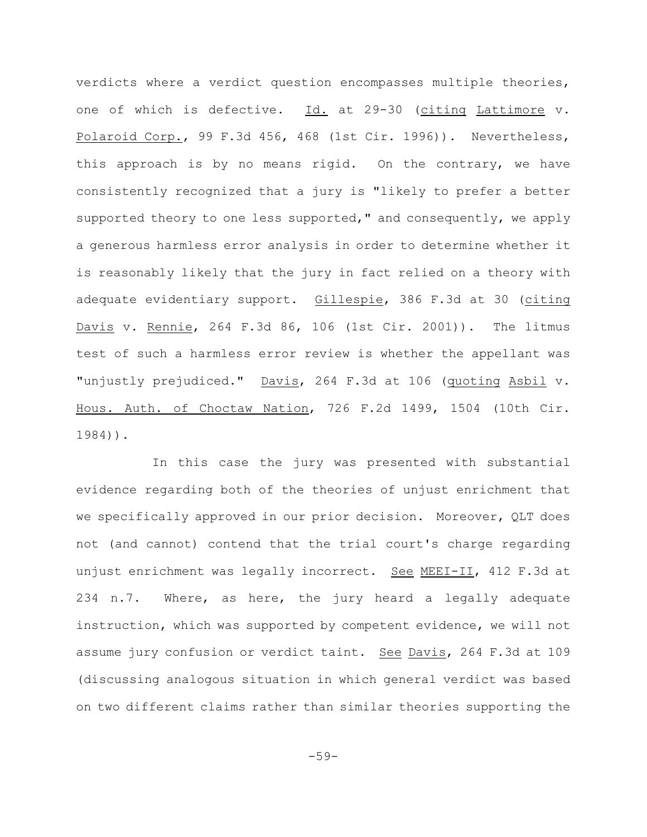verdicts where a verdict question encompasses multiple theories, one of which is defective. Id. at 29-30 (citing Lattimore v. Polaroid Corp., 99 F.3d 456, 468 (1st Cir. 1996)). Nevertheless, this approach is by no means rigid. On the contrary, we have consistently recognized that a jury is "likely to prefer a better supported theory to one less supported," and consequently, we apply a generous harmless error analysis in order to determine whether it is reasonably likely that the jury in fact relied on a theory with adequate evidentiary support. Gillespie, 386 F.3d at 30 (citing Davis v. Rennie, 264 F.3d 86, 106 (1st Cir. 2001)). The litmus test of such a harmless error review is whether the appellant was "unjustly prejudiced." Davis, 264 F.3d at 106 (quoting Asbil v. Hous. Auth. of Choctaw Nation, 726 F.2d 1499, 1504 (10th Cir. 1984)).

In this case the jury was presented with substantial evidence regarding both of the theories of unjust enrichment that we specifically approved in our prior decision. Moreover, QLT does not (and cannot) contend that the trial court's charge regarding unjust enrichment was legally incorrect. See MEEI-II, 412 F.3d at 234 n.7. Where, as here, the jury heard a legally adequate instruction, which was supported by competent evidence, we will not assume jury confusion or verdict taint. See Davis, 264 F.3d at 109 (discussing analogous situation in which general verdict was based on two different claims rather than similar theories supporting the

 $-59-$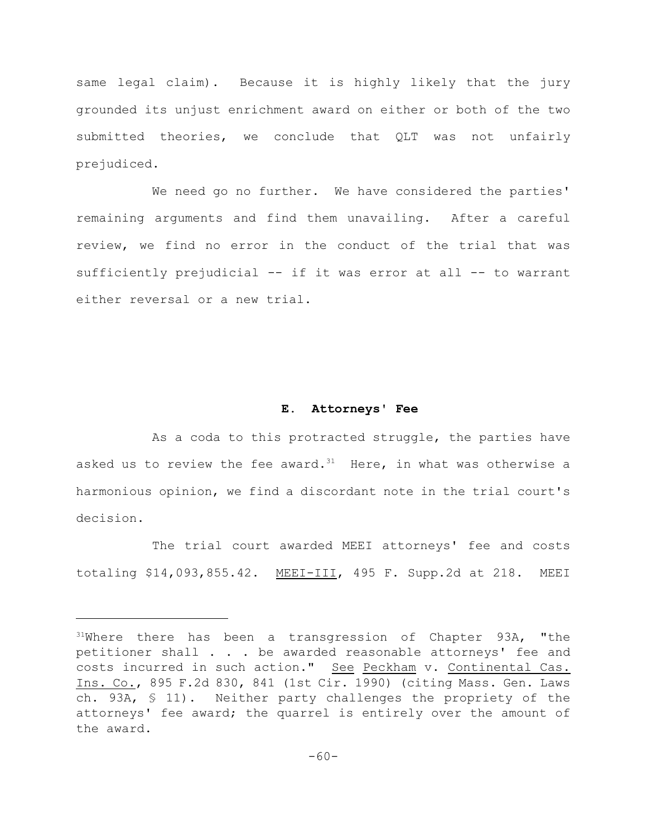same legal claim). Because it is highly likely that the jury grounded its unjust enrichment award on either or both of the two submitted theories, we conclude that QLT was not unfairly prejudiced.

We need go no further. We have considered the parties' remaining arguments and find them unavailing. After a careful review, we find no error in the conduct of the trial that was sufficiently prejudicial -- if it was error at all -- to warrant either reversal or a new trial.

#### **E. Attorneys' Fee**

As a coda to this protracted struggle, the parties have asked us to review the fee award.<sup>31</sup> Here, in what was otherwise a harmonious opinion, we find a discordant note in the trial court's decision.

The trial court awarded MEEI attorneys' fee and costs totaling \$14,093,855.42. MEEI-III, 495 F. Supp.2d at 218. MEEI

 $31$ Where there has been a transgression of Chapter 93A, "the petitioner shall . . . be awarded reasonable attorneys' fee and costs incurred in such action." See Peckham v. Continental Cas. Ins. Co., 895 F.2d 830, 841 (1st Cir. 1990) (citing Mass. Gen. Laws ch. 93A, § 11). Neither party challenges the propriety of the attorneys' fee award; the quarrel is entirely over the amount of the award.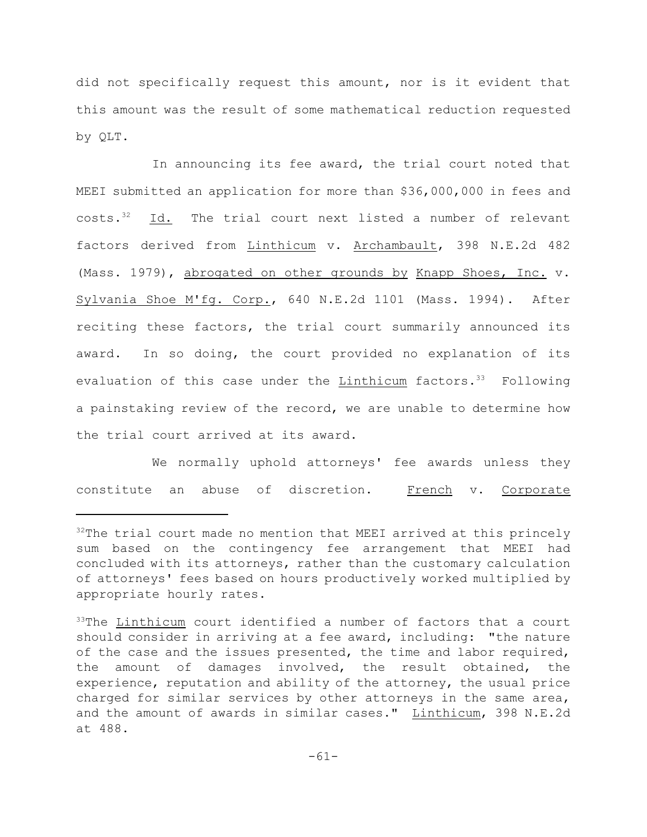did not specifically request this amount, nor is it evident that this amount was the result of some mathematical reduction requested by QLT.

In announcing its fee award, the trial court noted that MEEI submitted an application for more than \$36,000,000 in fees and  $costs.$ <sup>32</sup> Id. The trial court next listed a number of relevant factors derived from Linthicum v. Archambault, 398 N.E.2d 482 (Mass. 1979), abrogated on other grounds by Knapp Shoes, Inc. v. Sylvania Shoe M'fg. Corp., 640 N.E.2d 1101 (Mass. 1994). After reciting these factors, the trial court summarily announced its award. In so doing, the court provided no explanation of its evaluation of this case under the Linthicum factors.  $33$  Following a painstaking review of the record, we are unable to determine how the trial court arrived at its award.

We normally uphold attorneys' fee awards unless they constitute an abuse of discretion. French v. Corporate

 $32$ The trial court made no mention that MEEI arrived at this princely sum based on the contingency fee arrangement that MEEI had concluded with its attorneys, rather than the customary calculation of attorneys' fees based on hours productively worked multiplied by appropriate hourly rates.

 $33$ The Linthicum court identified a number of factors that a court should consider in arriving at a fee award, including: "the nature of the case and the issues presented, the time and labor required, the amount of damages involved, the result obtained, the experience, reputation and ability of the attorney, the usual price charged for similar services by other attorneys in the same area, and the amount of awards in similar cases." Linthicum, 398 N.E.2d at 488.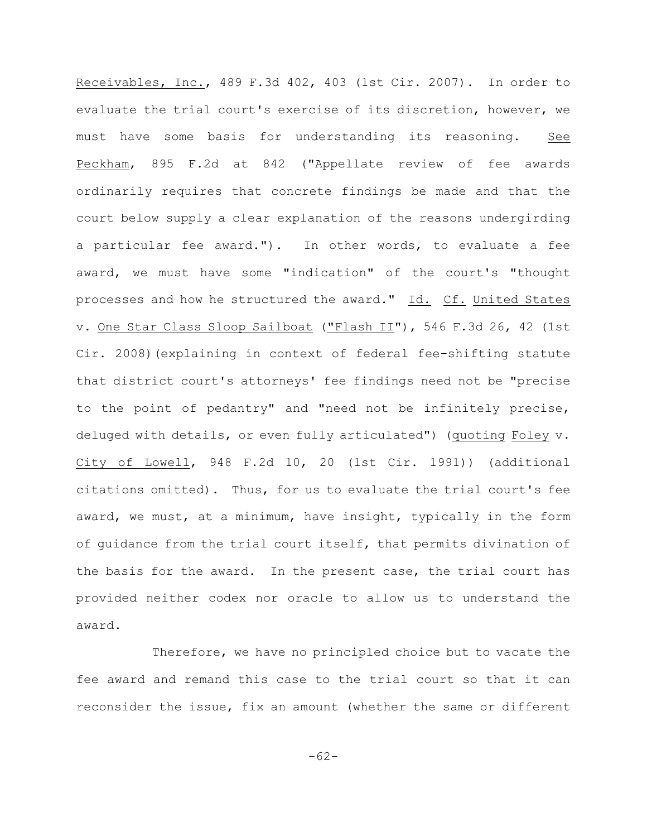Receivables, Inc., 489 F.3d 402, 403 (1st Cir. 2007). In order to evaluate the trial court's exercise of its discretion, however, we must have some basis for understanding its reasoning. See Peckham, 895 F.2d at 842 ("Appellate review of fee awards ordinarily requires that concrete findings be made and that the court below supply a clear explanation of the reasons undergirding a particular fee award."). In other words, to evaluate a fee award, we must have some "indication" of the court's "thought processes and how he structured the award." Id. Cf. United States v. One Star Class Sloop Sailboat ("Flash II"), 546 F.3d 26, 42 (1st Cir. 2008)(explaining in context of federal fee-shifting statute that district court's attorneys' fee findings need not be "precise to the point of pedantry" and "need not be infinitely precise, deluged with details, or even fully articulated") (quoting Foley v. City of Lowell, 948 F.2d 10, 20 (1st Cir. 1991)) (additional citations omitted). Thus, for us to evaluate the trial court's fee award, we must, at a minimum, have insight, typically in the form of guidance from the trial court itself, that permits divination of the basis for the award. In the present case, the trial court has provided neither codex nor oracle to allow us to understand the award.

Therefore, we have no principled choice but to vacate the fee award and remand this case to the trial court so that it can reconsider the issue, fix an amount (whether the same or different

-62-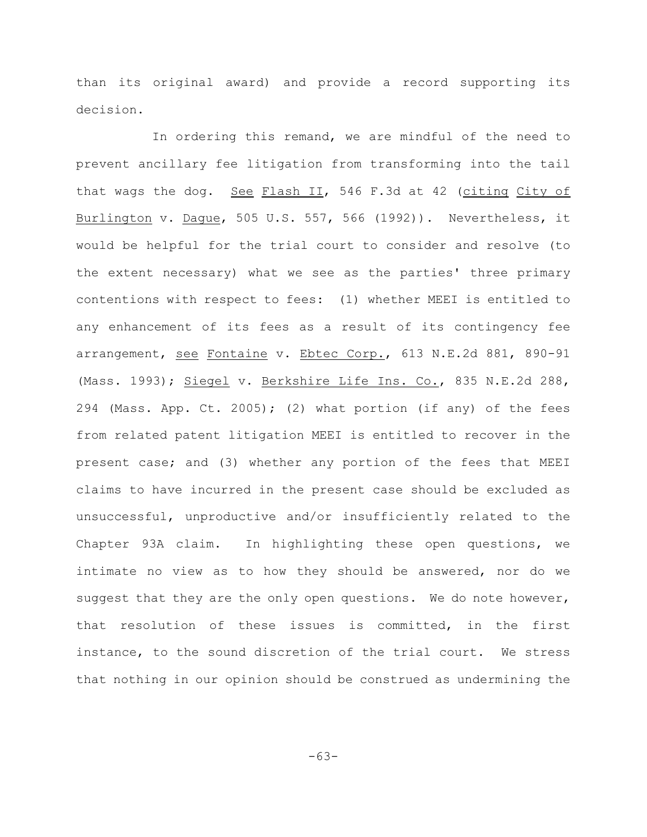than its original award) and provide a record supporting its decision.

In ordering this remand, we are mindful of the need to prevent ancillary fee litigation from transforming into the tail that wags the dog. See Flash II, 546 F.3d at 42 (citing City of Burlington v. Dague, 505 U.S. 557, 566 (1992)). Nevertheless, it would be helpful for the trial court to consider and resolve (to the extent necessary) what we see as the parties' three primary contentions with respect to fees: (1) whether MEEI is entitled to any enhancement of its fees as a result of its contingency fee arrangement, see Fontaine v. Ebtec Corp., 613 N.E.2d 881, 890-91 (Mass. 1993); Siegel v. Berkshire Life Ins. Co., 835 N.E.2d 288, 294 (Mass. App. Ct. 2005); (2) what portion (if any) of the fees from related patent litigation MEEI is entitled to recover in the present case; and (3) whether any portion of the fees that MEEI claims to have incurred in the present case should be excluded as unsuccessful, unproductive and/or insufficiently related to the Chapter 93A claim. In highlighting these open questions, we intimate no view as to how they should be answered, nor do we suggest that they are the only open questions. We do note however, that resolution of these issues is committed, in the first instance, to the sound discretion of the trial court. We stress that nothing in our opinion should be construed as undermining the

-63-